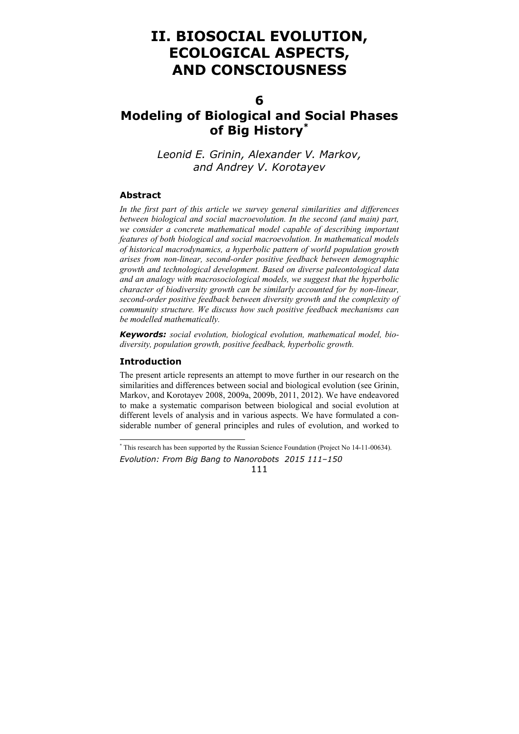# **II. BIOSOCIAL EVOLUTION, ECOLOGICAL ASPECTS, AND CONSCIOUSNESS**

**6** 

## **Modeling of Biological and Social Phases of Big History\***

*Leonid E. Grinin, Alexander V. Markov, and Andrey V. Korotayev* 

### **Abstract**

*In the first part of this article we survey general similarities and differences between biological and social macroevolution. In the second (and main) part, we consider a concrete mathematical model capable of describing important features of both biological and social macroevolution. In mathematical models of historical macrodynamics, a hyperbolic pattern of world population growth arises from non-linear, second-order positive feedback between demographic growth and technological development. Based on diverse paleontological data and an analogy with macrosociological models, we suggest that the hyperbolic character of biodiversity growth can be similarly accounted for by non-linear, second-order positive feedback between diversity growth and the complexity of community structure. We discuss how such positive feedback mechanisms can be modelled mathematically.* 

*Keywords: social evolution, biological evolution, mathematical model, biodiversity, population growth, positive feedback, hyperbolic growth.*

### **Introduction**

 $\overline{a}$ 

The present article represents an attempt to move further in our research on the similarities and differences between social and biological evolution (see Grinin, Markov, and Korotayev 2008, 2009a, 2009b, 2011, 2012). We have endeavored to make a systematic comparison between biological and social evolution at different levels of analysis and in various aspects. We have formulated a considerable number of general principles and rules of evolution, and worked to

*Evolution: From Big Bang to Nanorobots 2015 111–150*  \* This research has been supported by the Russian Science Foundation (Project No 14-11-00634).

<sup>111</sup>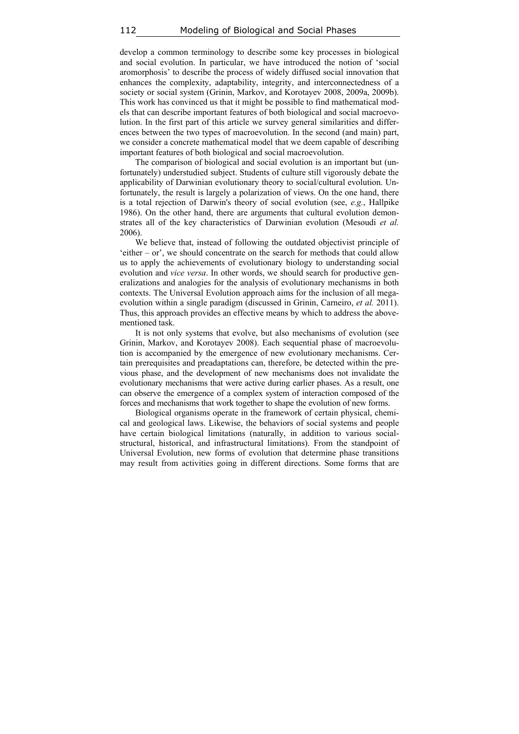develop a common terminology to describe some key processes in biological and social evolution. In particular, we have introduced the notion of 'social aromorphosis' to describe the process of widely diffused social innovation that enhances the complexity, adaptability, integrity, and interconnectedness of a society or social system (Grinin, Markov, and Korotayev 2008, 2009a, 2009b). This work has convinced us that it might be possible to find mathematical models that can describe important features of both biological and social macroevolution. In the first part of this article we survey general similarities and differences between the two types of macroevolution. In the second (and main) part, we consider a concrete mathematical model that we deem capable of describing important features of both biological and social macroevolution.

The comparison of biological and social evolution is an important but (unfortunately) understudied subject. Students of culture still vigorously debate the applicability of Darwinian evolutionary theory to social/cultural evolution. Unfortunately, the result is largely a polarization of views. On the one hand, there is a total rejection of Darwin's theory of social evolution (see, *e.g.*, Hallpike 1986). On the other hand, there are arguments that cultural evolution demonstrates all of the key characteristics of Darwinian evolution (Mesoudi *et al.* 2006).

We believe that, instead of following the outdated objectivist principle of 'either – or', we should concentrate on the search for methods that could allow us to apply the achievements of evolutionary biology to understanding social evolution and *vice versa*. In other words, we should search for productive generalizations and analogies for the analysis of evolutionary mechanisms in both contexts. The Universal Evolution approach aims for the inclusion of all megaevolution within a single paradigm (discussed in Grinin, Carneiro, *et al.* 2011). Thus, this approach provides an effective means by which to address the abovementioned task.

It is not only systems that evolve, but also mechanisms of evolution (see Grinin, Markov, and Korotayev 2008). Each sequential phase of macroevolution is accompanied by the emergence of new evolutionary mechanisms. Certain prerequisites and preadaptations can, therefore, be detected within the previous phase, and the development of new mechanisms does not invalidate the evolutionary mechanisms that were active during earlier phases. As a result, one can observe the emergence of a complex system of interaction composed of the forces and mechanisms that work together to shape the evolution of new forms.

Biological organisms operate in the framework of certain physical, chemical and geological laws. Likewise, the behaviors of social systems and people have certain biological limitations (naturally, in addition to various socialstructural, historical, and infrastructural limitations). From the standpoint of Universal Evolution, new forms of evolution that determine phase transitions may result from activities going in different directions. Some forms that are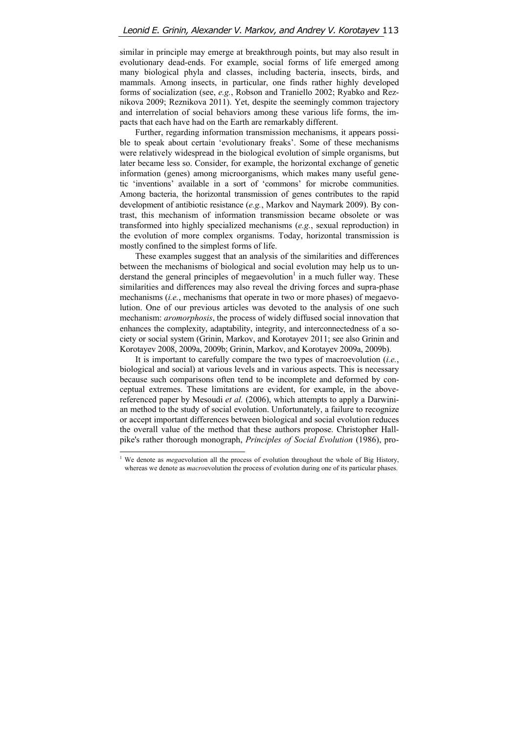similar in principle may emerge at breakthrough points, but may also result in evolutionary dead-ends. For example, social forms of life emerged among many biological phyla and classes, including bacteria, insects, birds, and mammals. Among insects, in particular, one finds rather highly developed forms of socialization (see, *e.g.*, Robson and Traniello 2002; Ryabko and Reznikova 2009; Reznikova 2011). Yet, despite the seemingly common trajectory and interrelation of social behaviors among these various life forms, the impacts that each have had on the Earth are remarkably different.

Further, regarding information transmission mechanisms, it appears possible to speak about certain 'evolutionary freaks'. Some of these mechanisms were relatively widespread in the biological evolution of simple organisms, but later became less so. Consider, for example, the horizontal exchange of genetic information (genes) among microorganisms, which makes many useful genetic 'inventions' available in a sort of 'commons' for microbe communities. Among bacteria, the horizontal transmission of genes contributes to the rapid development of antibiotic resistance (*e.g.*, Markov and Naymark 2009). By contrast, this mechanism of information transmission became obsolete or was transformed into highly specialized mechanisms (*e.g.*, sexual reproduction) in the evolution of more complex organisms. Today, horizontal transmission is mostly confined to the simplest forms of life.

These examples suggest that an analysis of the similarities and differences between the mechanisms of biological and social evolution may help us to understand the general principles of megaevolution<sup>1</sup> in a much fuller way. These similarities and differences may also reveal the driving forces and supra-phase mechanisms (*i.e.*, mechanisms that operate in two or more phases) of megaevolution. One of our previous articles was devoted to the analysis of one such mechanism: *aromorphosis*, the process of widely diffused social innovation that enhances the complexity, adaptability, integrity, and interconnectedness of a society or social system (Grinin, Markov, and Korotayev 2011; see also Grinin and Korotayev 2008, 2009a, 2009b; Grinin, Markov, and Korotayev 2009a, 2009b).

It is important to carefully compare the two types of macroevolution (*i.e.*, biological and social) at various levels and in various aspects. This is necessary because such comparisons often tend to be incomplete and deformed by conceptual extremes. These limitations are evident, for example, in the abovereferenced paper by Mesoudi *et al.* (2006), which attempts to apply a Darwinian method to the study of social evolution. Unfortunately, a failure to recognize or accept important differences between biological and social evolution reduces the overall value of the method that these authors propose. Christopher Hallpike's rather thorough monograph, *Principles of Social Evolution* (1986), pro-

 $\overline{\phantom{a}}$ 

<sup>&</sup>lt;sup>1</sup> We denote as *mega*evolution all the process of evolution throughout the whole of Big History, whereas we denote as *macro*evolution the process of evolution during one of its particular phases.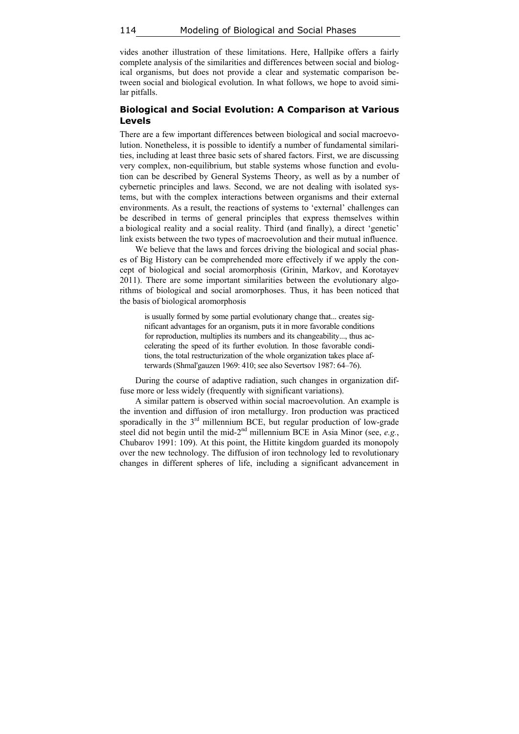114 Modeling of Biological and Social Phases

vides another illustration of these limitations. Here, Hallpike offers a fairly complete analysis of the similarities and differences between social and biological organisms, but does not provide a clear and systematic comparison between social and biological evolution. In what follows, we hope to avoid similar pitfalls.

#### **Biological and Social Evolution: A Comparison at Various Levels**

There are a few important differences between biological and social macroevolution. Nonetheless, it is possible to identify a number of fundamental similarities, including at least three basic sets of shared factors. First, we are discussing very complex, non-equilibrium, but stable systems whose function and evolution can be described by General Systems Theory, as well as by a number of cybernetic principles and laws. Second, we are not dealing with isolated systems, but with the complex interactions between organisms and their external environments. As a result, the reactions of systems to 'external' challenges can be described in terms of general principles that express themselves within a biological reality and a social reality. Third (and finally), a direct 'genetic' link exists between the two types of macroevolution and their mutual influence.

We believe that the laws and forces driving the biological and social phases of Big History can be comprehended more effectively if we apply the concept of biological and social aromorphosis (Grinin, Markov, and Korotayev 2011). There are some important similarities between the evolutionary algorithms of biological and social aromorphoses. Thus, it has been noticed that the basis of biological aromorphosis

is usually formed by some partial evolutionary change that... creates significant advantages for an organism, puts it in more favorable conditions for reproduction, multiplies its numbers and its changeability..., thus accelerating the speed of its further evolution. In those favorable conditions, the total restructurization of the whole organization takes place afterwards (Shmal'gauzen 1969: 410; see also Severtsov 1987: 64–76).

During the course of adaptive radiation, such changes in organization diffuse more or less widely (frequently with significant variations).

A similar pattern is observed within social macroevolution. An example is the invention and diffusion of iron metallurgy. Iron production was practiced sporadically in the  $3<sup>rd</sup>$  millennium BCE, but regular production of low-grade steel did not begin until the mid-2nd millennium BCE in Asia Minor (see, *e.g.*, Chubarov 1991: 109). At this point, the Hittite kingdom guarded its monopoly over the new technology. The diffusion of iron technology led to revolutionary changes in different spheres of life, including a significant advancement in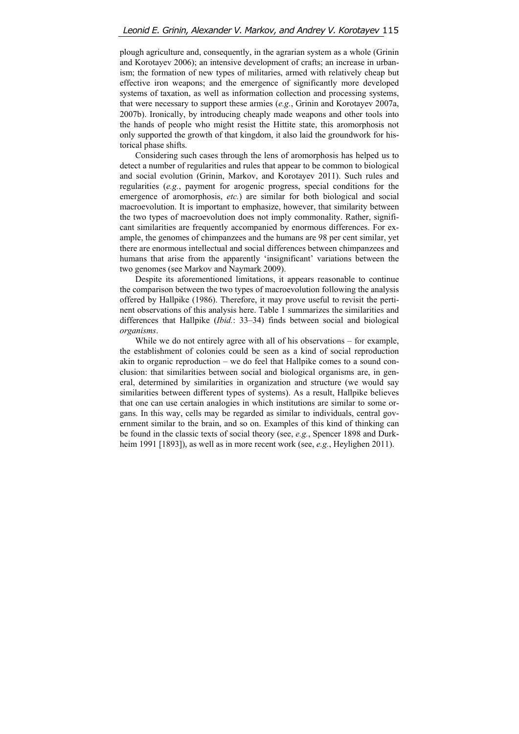plough agriculture and, consequently, in the agrarian system as a whole (Grinin and Korotayev 2006); an intensive development of crafts; an increase in urbanism; the formation of new types of militaries, armed with relatively cheap but effective iron weapons; and the emergence of significantly more developed systems of taxation, as well as information collection and processing systems, that were necessary to support these armies (*e.g.*, Grinin and Korotayev 2007a, 2007b). Ironically, by introducing cheaply made weapons and other tools into the hands of people who might resist the Hittite state, this aromorphosis not only supported the growth of that kingdom, it also laid the groundwork for historical phase shifts.

Considering such cases through the lens of aromorphosis has helped us to detect a number of regularities and rules that appear to be common to biological and social evolution (Grinin, Markov, and Korotayev 2011). Such rules and regularities (*e.g.*, payment for arogenic progress, special conditions for the emergence of aromorphosis, *etc.*) are similar for both biological and social macroevolution. It is important to emphasize, however, that similarity between the two types of macroevolution does not imply commonality. Rather, significant similarities are frequently accompanied by enormous differences. For example, the genomes of chimpanzees and the humans are 98 per cent similar, yet there are enormous intellectual and social differences between chimpanzees and humans that arise from the apparently 'insignificant' variations between the two genomes (see Markov and Naymark 2009).

Despite its aforementioned limitations, it appears reasonable to continue the comparison between the two types of macroevolution following the analysis offered by Hallpike (1986). Therefore, it may prove useful to revisit the pertinent observations of this analysis here. Table 1 summarizes the similarities and differences that Hallpike (*Ibid.*: 33–34) finds between social and biological *organisms*.

While we do not entirely agree with all of his observations – for example, the establishment of colonies could be seen as a kind of social reproduction akin to organic reproduction – we do feel that Hallpike comes to a sound conclusion: that similarities between social and biological organisms are, in general, determined by similarities in organization and structure (we would say similarities between different types of systems). As a result, Hallpike believes that one can use certain analogies in which institutions are similar to some organs. In this way, cells may be regarded as similar to individuals, central government similar to the brain, and so on. Examples of this kind of thinking can be found in the classic texts of social theory (see, *e.g.*, Spencer 1898 and Durkheim 1991 [1893]), as well as in more recent work (see, *e.g.*, Heylighen 2011).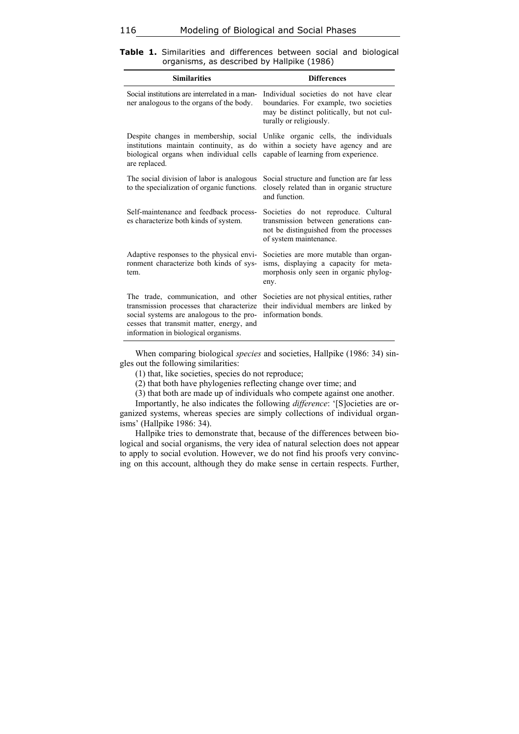| <b>Similarities</b>                                                                                                                                                                                             | <b>Differences</b>                                                                                                                                       |
|-----------------------------------------------------------------------------------------------------------------------------------------------------------------------------------------------------------------|----------------------------------------------------------------------------------------------------------------------------------------------------------|
| Social institutions are interrelated in a man-<br>ner analogous to the organs of the body.                                                                                                                      | Individual societies do not have clear<br>boundaries. For example, two societies<br>may be distinct politically, but not cul-<br>turally or religiously. |
| Despite changes in membership, social<br>institutions maintain continuity, as do<br>biological organs when individual cells<br>are replaced.                                                                    | Unlike organic cells, the individuals<br>within a society have agency and are<br>capable of learning from experience.                                    |
| The social division of labor is analogous<br>to the specialization of organic functions.                                                                                                                        | Social structure and function are far less<br>closely related than in organic structure<br>and function                                                  |
| Self-maintenance and feedback process-<br>es characterize both kinds of system.                                                                                                                                 | Societies do not reproduce. Cultural<br>transmission between generations can-<br>not be distinguished from the processes<br>of system maintenance.       |
| Adaptive responses to the physical envi-<br>ronment characterize both kinds of sys-<br>tem.                                                                                                                     | Societies are more mutable than organ-<br>isms, displaying a capacity for meta-<br>morphosis only seen in organic phylog-<br>eny.                        |
| The trade, communication, and other<br>transmission processes that characterize<br>social systems are analogous to the pro-<br>cesses that transmit matter, energy, and<br>information in biological organisms. | Societies are not physical entities, rather<br>their individual members are linked by<br>information bonds.                                              |

**Table 1.** Similarities and differences between social and biological organisms, as described by Hallpike (1986)

When comparing biological *species* and societies, Hallpike (1986: 34) singles out the following similarities:

(1) that, like societies, species do not reproduce;

(2) that both have phylogenies reflecting change over time; and

(3) that both are made up of individuals who compete against one another.

Importantly, he also indicates the following *difference*: '[S]ocieties are organized systems, whereas species are simply collections of individual organisms' (Hallpike 1986: 34).

Hallpike tries to demonstrate that, because of the differences between biological and social organisms, the very idea of natural selection does not appear to apply to social evolution. However, we do not find his proofs very convincing on this account, although they do make sense in certain respects. Further,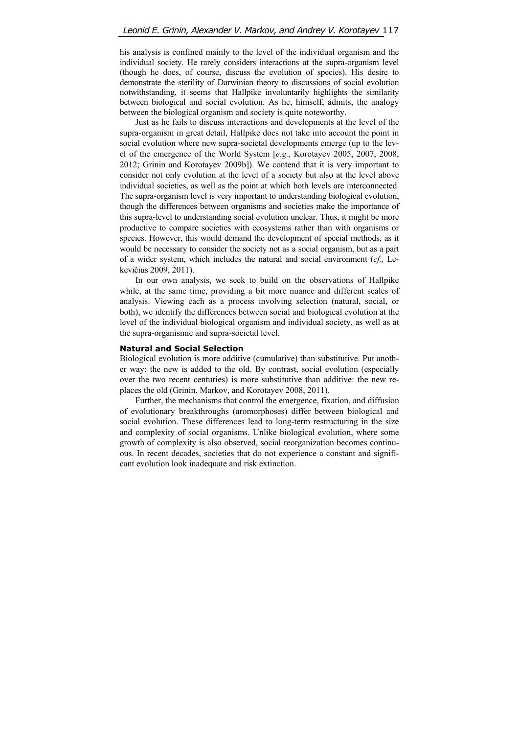his analysis is confined mainly to the level of the individual organism and the individual society. He rarely considers interactions at the supra-organism level (though he does, of course, discuss the evolution of species). His desire to demonstrate the sterility of Darwinian theory to discussions of social evolution notwithstanding, it seems that Hallpike involuntarily highlights the similarity between biological and social evolution. As he, himself, admits, the analogy between the biological organism and society is quite noteworthy.

Just as he fails to discuss interactions and developments at the level of the supra-organism in great detail, Hallpike does not take into account the point in social evolution where new supra-societal developments emerge (up to the level of the emergence of the World System [*e.g.*, Korotayev 2005, 2007, 2008, 2012; Grinin and Korotayev 2009b]). We contend that it is very important to consider not only evolution at the level of a society but also at the level above individual societies, as well as the point at which both levels are interconnected. The supra-organism level is very important to understanding biological evolution, though the differences between organisms and societies make the importance of this supra-level to understanding social evolution unclear. Thus, it might be more productive to compare societies with ecosystems rather than with organisms or species. However, this would demand the development of special methods, as it would be necessary to consider the society not as a social organism, but as a part of a wider system, which includes the natural and social environment (*cf.,* Lekevičius 2009, 2011).

In our own analysis, we seek to build on the observations of Hallpike while, at the same time, providing a bit more nuance and different scales of analysis. Viewing each as a process involving selection (natural, social, or both), we identify the differences between social and biological evolution at the level of the individual biological organism and individual society, as well as at the supra-organismic and supra-societal level.

#### **Natural and Social Selection**

Biological evolution is more additive (cumulative) than substitutive. Put another way: the new is added to the old. By contrast, social evolution (especially over the two recent centuries) is more substitutive than additive: the new replaces the old (Grinin, Markov, and Korotayev 2008, 2011).

Further, the mechanisms that control the emergence, fixation, and diffusion of evolutionary breakthroughs (aromorphoses) differ between biological and social evolution. These differences lead to long-term restructuring in the size and complexity of social organisms. Unlike biological evolution, where some growth of complexity is also observed, social reorganization becomes continuous. In recent decades, societies that do not experience a constant and significant evolution look inadequate and risk extinction.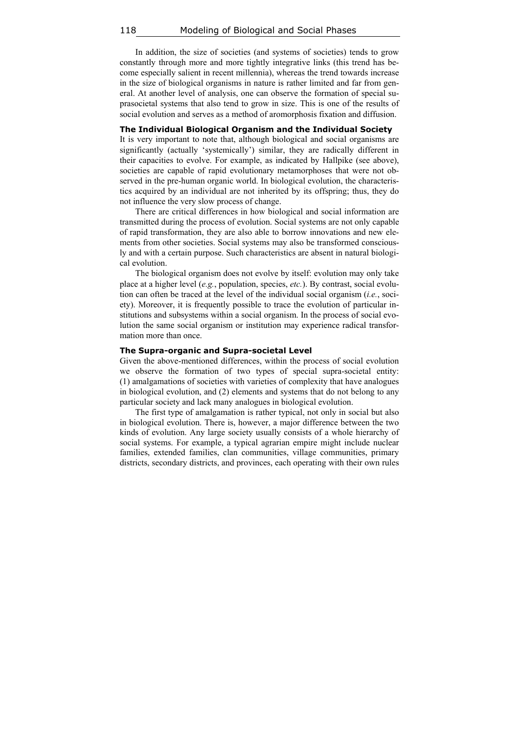In addition, the size of societies (and systems of societies) tends to grow constantly through more and more tightly integrative links (this trend has become especially salient in recent millennia), whereas the trend towards increase in the size of biological organisms in nature is rather limited and far from general. At another level of analysis, one can observe the formation of special suprasocietal systems that also tend to grow in size. This is one of the results of social evolution and serves as a method of aromorphosis fixation and diffusion.

#### **The Individual Biological Organism and the Individual Society**

It is very important to note that, although biological and social organisms are significantly (actually 'systemically') similar, they are radically different in their capacities to evolve. For example, as indicated by Hallpike (see above), societies are capable of rapid evolutionary metamorphoses that were not observed in the pre-human organic world. In biological evolution, the characteristics acquired by an individual are not inherited by its offspring; thus, they do not influence the very slow process of change.

There are critical differences in how biological and social information are transmitted during the process of evolution. Social systems are not only capable of rapid transformation, they are also able to borrow innovations and new elements from other societies. Social systems may also be transformed consciously and with a certain purpose. Such characteristics are absent in natural biological evolution.

The biological organism does not evolve by itself: evolution may only take place at a higher level (*e.g.*, population, species, *etc.*). By contrast, social evolution can often be traced at the level of the individual social organism (*i.e.*, society). Moreover, it is frequently possible to trace the evolution of particular institutions and subsystems within a social organism. In the process of social evolution the same social organism or institution may experience radical transformation more than once.

#### **The Supra-organic and Supra-societal Level**

Given the above-mentioned differences, within the process of social evolution we observe the formation of two types of special supra-societal entity: (1) amalgamations of societies with varieties of complexity that have analogues in biological evolution, and (2) elements and systems that do not belong to any particular society and lack many analogues in biological evolution.

The first type of amalgamation is rather typical, not only in social but also in biological evolution. There is, however, a major difference between the two kinds of evolution. Any large society usually consists of a whole hierarchy of social systems. For example, a typical agrarian empire might include nuclear families, extended families, clan communities, village communities, primary districts, secondary districts, and provinces, each operating with their own rules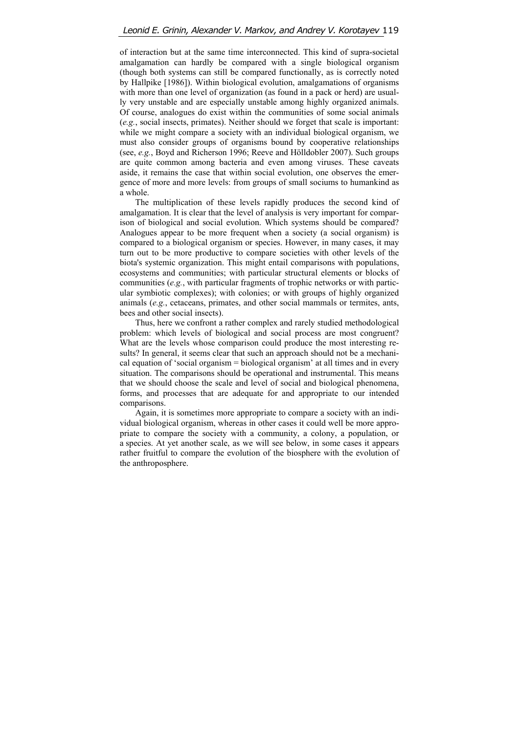of interaction but at the same time interconnected. This kind of supra-societal amalgamation can hardly be compared with a single biological organism (though both systems can still be compared functionally, as is correctly noted by Hallpike [1986]). Within biological evolution, amalgamations of organisms with more than one level of organization (as found in a pack or herd) are usually very unstable and are especially unstable among highly organized animals. Of course, analogues do exist within the communities of some social animals (*e.g.*, social insects, primates). Neither should we forget that scale is important: while we might compare a society with an individual biological organism, we must also consider groups of organisms bound by cooperative relationships (see, *e.g.*, Boyd and Richerson 1996; Reeve and Hölldobler 2007). Such groups are quite common among bacteria and even among viruses. These caveats aside, it remains the case that within social evolution, one observes the emergence of more and more levels: from groups of small sociums to humankind as a whole.

The multiplication of these levels rapidly produces the second kind of amalgamation. It is clear that the level of analysis is very important for comparison of biological and social evolution. Which systems should be compared? Analogues appear to be more frequent when a society (a social organism) is compared to a biological organism or species. However, in many cases, it may turn out to be more productive to compare societies with other levels of the biota's systemic organization. This might entail comparisons with populations, ecosystems and communities; with particular structural elements or blocks of communities (*e.g.*, with particular fragments of trophic networks or with particular symbiotic complexes); with colonies; or with groups of highly organized animals (*e.g.*, cetaceans, primates, and other social mammals or termites, ants, bees and other social insects).

Thus, here we confront a rather complex and rarely studied methodological problem: which levels of biological and social process are most congruent? What are the levels whose comparison could produce the most interesting results? In general, it seems clear that such an approach should not be a mechanical equation of 'social organism = biological organism' at all times and in every situation. The comparisons should be operational and instrumental. This means that we should choose the scale and level of social and biological phenomena, forms, and processes that are adequate for and appropriate to our intended comparisons.

Again, it is sometimes more appropriate to compare a society with an individual biological organism, whereas in other cases it could well be more appropriate to compare the society with a community, a colony, a population, or a species. At yet another scale, as we will see below, in some cases it appears rather fruitful to compare the evolution of the biosphere with the evolution of the anthroposphere.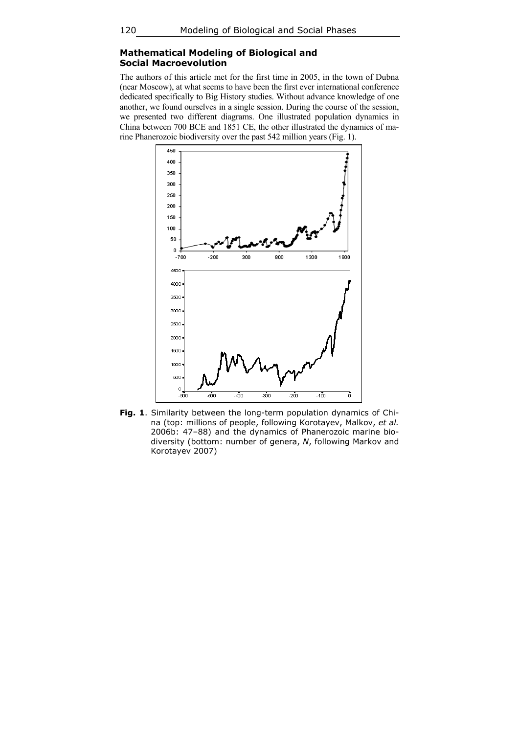## **Mathematical Modeling of Biological and Social Macroevolution**

The authors of this article met for the first time in 2005, in the town of Dubna (near Moscow), at what seems to have been the first ever international conference dedicated specifically to Big History studies. Without advance knowledge of one another, we found ourselves in a single session. During the course of the session, we presented two different diagrams. One illustrated population dynamics in China between 700 BCE and 1851 CE, the other illustrated the dynamics of marine Phanerozoic biodiversity over the past 542 million years (Fig. 1).



**Fig. 1**. Similarity between the long-term population dynamics of China (top: millions of people, following Korotayev, Malkov, *et al.* 2006b: 47–88) and the dynamics of Phanerozoic marine biodiversity (bottom: number of genera, *N*, following Markov and Korotayev 2007)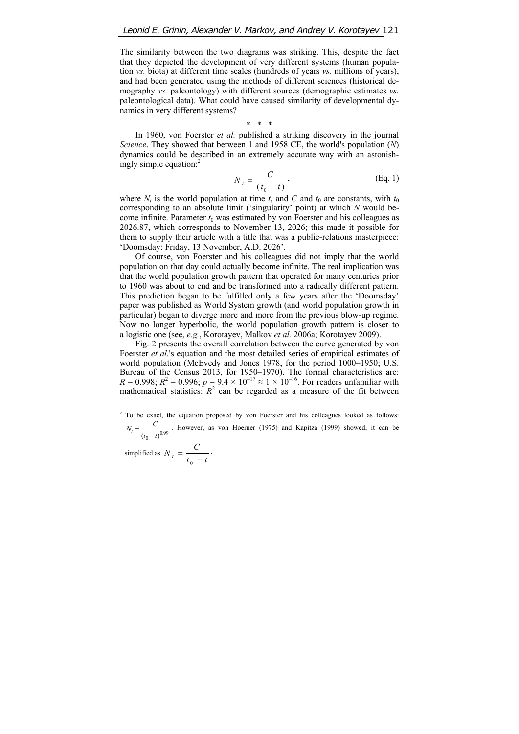The similarity between the two diagrams was striking. This, despite the fact that they depicted the development of very different systems (human population *vs.* biota) at different time scales (hundreds of years *vs.* millions of years), and had been generated using the methods of different sciences (historical demography *vs.* paleontology) with different sources (demographic estimates *vs.* paleontological data). What could have caused similarity of developmental dynamics in very different systems?

\* \* \*

In 1960, von Foerster *et al.* published a striking discovery in the journal *Science*. They showed that between 1 and 1958 CE, the world's population (*N*) dynamics could be described in an extremely accurate way with an astonishingly simple equation:<sup>2</sup>

$$
N_t = \frac{C}{(t_0 - t)},
$$
 (Eq. 1)

where  $N_t$  is the world population at time  $t$ , and  $C$  and  $t_0$  are constants, with  $t_0$ corresponding to an absolute limit ('singularity' point) at which *N* would become infinite. Parameter  $t_0$  was estimated by von Foerster and his colleagues as 2026.87, which corresponds to November 13, 2026; this made it possible for them to supply their article with a title that was a public-relations masterpiece: 'Doomsday: Friday, 13 November, A.D. 2026'.

Of course, von Foerster and his colleagues did not imply that the world population on that day could actually become infinite. The real implication was that the world population growth pattern that operated for many centuries prior to 1960 was about to end and be transformed into a radically different pattern. This prediction began to be fulfilled only a few years after the 'Doomsday' paper was published as World System growth (and world population growth in particular) began to diverge more and more from the previous blow-up regime. Now no longer hyperbolic, the world population growth pattern is closer to a logistic one (see, *e.g.*, Korotayev, Malkov *et al.* 2006a; Korotayev 2009).

Fig. 2 presents the overall correlation between the curve generated by von Foerster *et al.*'s equation and the most detailed series of empirical estimates of world population (McEvedy and Jones 1978, for the period 1000–1950; U.S. Bureau of the Census 2013, for 1950–1970). The formal characteristics are:  $R = 0.998$ ;  $R^2 = 0.996$ ;  $p = 9.4 \times 10^{-17} \approx 1 \times 10^{-16}$ . For readers unfamiliar with mathematical statistics:  $R^2$  can be regarded as a measure of the fit between  $\overline{a}$ 

simplified as  $N_t = \frac{C}{t_0 - t}$ .

 $2^2$  To be exact, the equation proposed by von Foerster and his colleagues looked as follows:  $N_t = \frac{C}{(t_0 - t)^{0.99}}$ . However, as von Hoerner (1975) and Kapitza (1999) showed, it can be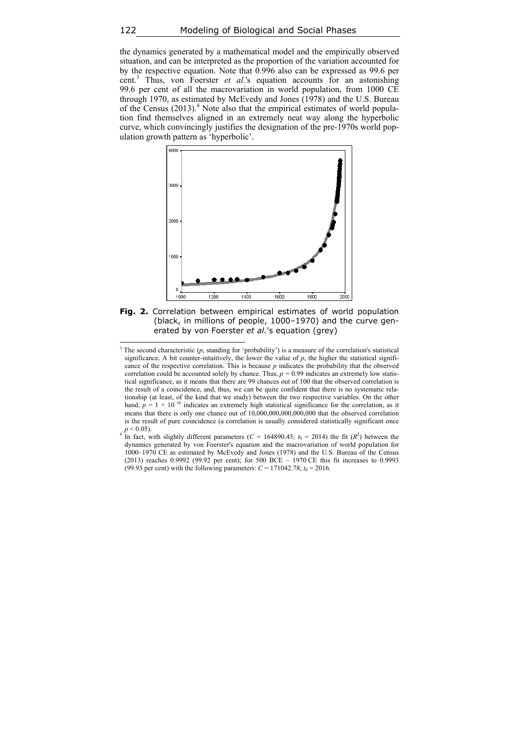the dynamics generated by a mathematical model and the empirically observed situation, and can be interpreted as the proportion of the variation accounted for by the respective equation. Note that 0.996 also can be expressed as 99.6 per cent.<sup>3</sup> Thus, von Foerster *et al.*'s equation accounts for an astonishing 99.6 per cent of all the macrovariation in world population, from 1000 CE through 1970, as estimated by McEvedy and Jones  $(1978)$  and the U.S. Bureau of the Census (2013).<sup>4</sup> Note also that the empirical estimates of world population find themselves aligned in an extremely neat way along the hyperbolic curve, which convincingly justifies the designation of the pre-1970s world population growth pattern as 'hyperbolic'.



**Fig. 2.** Correlation between empirical estimates of world population (black, in millions of people, 1000–1970) and the curve generated by von Foerster *et al.*'s equation (grey)

l

<sup>&</sup>lt;sup>3</sup> The second characteristic  $(p,$  standing for 'probability') is a measure of the correlation's statistical significance. A bit counter-intuitively, the lower the value of  $p$ , the higher the statistical significance of the respective correlation. This is because *p* indicates the probability that the observed correlation could be accounted solely by chance. Thus,  $p = 0.99$  indicates an extremely low statistical significance, as it means that there are 99 chances out of 100 that the observed correlation is the result of a coincidence, and, thus, we can be quite confident that there is no systematic relationship (at least, of the kind that we study) between the two respective variables. On the other hand,  $p = 1 \times 10^{-16}$  indicates an extremely high statistical significance for the correlation, as it means that there is only one chance out of 10,000,000,000,000,000 that the observed correlation is the result of pure coincidence (a correlation is usually considered statistically significant once  $p < 0.05$ ).

In fact, with slightly different parameters ( $C = 164890.45$ ;  $t_0 = 2014$ ) the fit ( $R^2$ ) between the dynamics generated by von Foerster's equation and the macrovariation of world population for 1000–1970 CE as estimated by McEvedy and Jones (1978) and the U.S. Bureau of the Census (2013) reaches 0.9992 (99.92 per cent); for 500 BCE – 1970 CE this fit increases to 0.9993 (99.93 per cent) with the following parameters:  $C = 171042.78$ ;  $t_0 = 2016$ .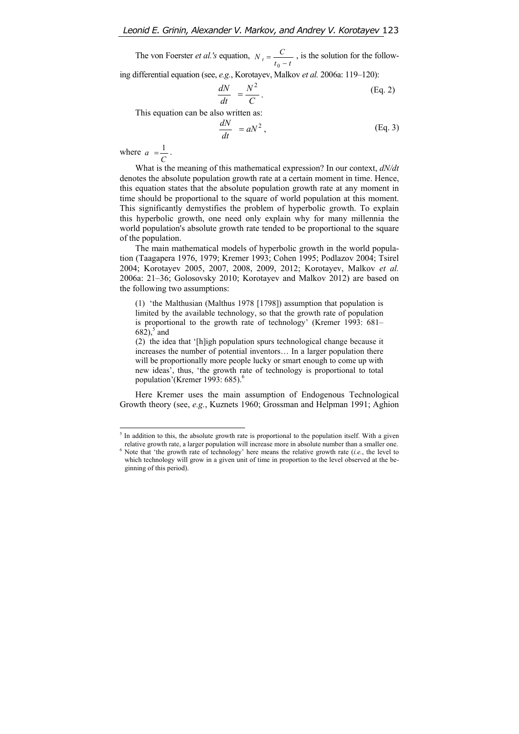The von Foerster *et al.'s* equation,  $N_t = \frac{C}{t_0 - t}$ , is the solution for the follow-

ing differential equation (see, *e.g.*, Korotayev, Malkov *et al.* 2006a: 119–120):

$$
\frac{dN}{dt} = \frac{N^2}{C}.
$$
 (Eq. 2)

This equation can be also written as:

$$
\frac{dN}{dt} = aN^2, \qquad \qquad (\text{Eq. 3})
$$

where  $a = \frac{1}{C}$ .

 $\overline{a}$ 

What is the meaning of this mathematical expression? In our context, *dN/dt* denotes the absolute population growth rate at a certain moment in time. Hence, this equation states that the absolute population growth rate at any moment in time should be proportional to the square of world population at this moment. This significantly demystifies the problem of hyperbolic growth. To explain this hyperbolic growth, one need only explain why for many millennia the world population's absolute growth rate tended to be proportional to the square of the population.

The main mathematical models of hyperbolic growth in the world population (Taagapera 1976, 1979; Kremer 1993; Cohen 1995; Podlazov 2004; Tsirel 2004; Korotayev 2005, 2007, 2008, 2009, 2012; Korotayev, Malkov *et al.* 2006a: 21–36; Golosovsky 2010; Korotayev and Malkov 2012) are based on the following two assumptions:

(1) 'the Malthusian (Malthus 1978 [1798]) assumption that population is limited by the available technology, so that the growth rate of population is proportional to the growth rate of technology' (Kremer 1993: 681–  $682$ ),  $5$  and

(2) the idea that '[h]igh population spurs technological change because it increases the number of potential inventors… In a larger population there will be proportionally more people lucky or smart enough to come up with new ideas', thus, 'the growth rate of technology is proportional to total population'(Kremer 1993: 685).<sup>6</sup>

Here Kremer uses the main assumption of Endogenous Technological Growth theory (see, *e.g.*, Kuznets 1960; Grossman and Helpman 1991; Aghion

<sup>&</sup>lt;sup>5</sup> In addition to this, the absolute growth rate is proportional to the population itself. With a given relative growth rate, a larger population will increase more in absolute number than a smaller one.<br><sup>6</sup> Note that 'the growth rate of technology' here means the relative growth rate (i.e., the level to Note that 'the growth rate of technology' here means the relative growth rate (*i.e.*, the level to which technology will grow in a given unit of time in proportion to the level observed at the be-

ginning of this period).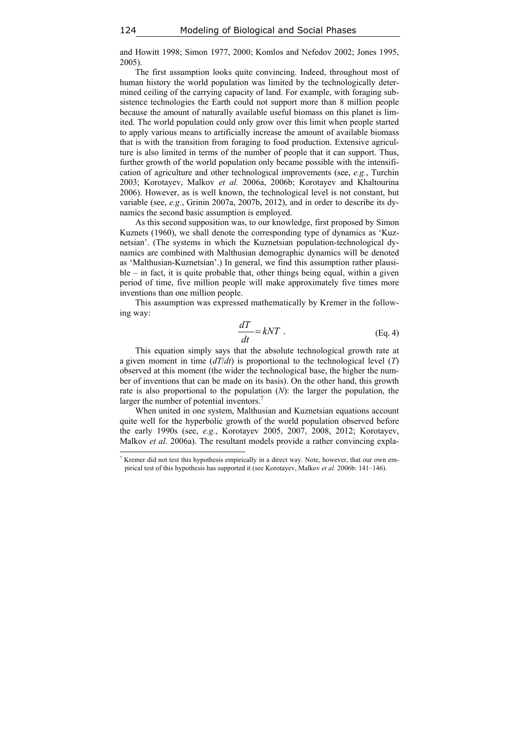and Howitt 1998; Simon 1977, 2000; Komlos and Nefedov 2002; Jones 1995, 2005).

The first assumption looks quite convincing. Indeed, throughout most of human history the world population was limited by the technologically determined ceiling of the carrying capacity of land. For example, with foraging subsistence technologies the Earth could not support more than 8 million people because the amount of naturally available useful biomass on this planet is limited. The world population could only grow over this limit when people started to apply various means to artificially increase the amount of available biomass that is with the transition from foraging to food production. Extensive agriculture is also limited in terms of the number of people that it can support. Thus, further growth of the world population only became possible with the intensification of agriculture and other technological improvements (see, *e.g.*, Turchin 2003; Korotayev, Malkov *et al.* 2006a, 2006b; Korotayev and Khaltourina 2006). However, as is well known, the technological level is not constant, but variable (see, *e.g.*, Grinin 2007a, 2007b, 2012), and in order to describe its dynamics the second basic assumption is employed.

As this second supposition was, to our knowledge, first proposed by Simon Kuznets (1960), we shall denote the corresponding type of dynamics as 'Kuznetsian'. (The systems in which the Kuznetsian population-technological dynamics are combined with Malthusian demographic dynamics will be denoted as 'Malthusian-Kuznetsian'.) In general, we find this assumption rather plausi $ble$  – in fact, it is quite probable that, other things being equal, within a given period of time, five million people will make approximately five times more inventions than one million people.

This assumption was expressed mathematically by Kremer in the following way:

$$
\frac{dT}{dt} = kNT \tag{Eq. 4}
$$

This equation simply says that the absolute technological growth rate at a given moment in time (*dT*/*dt*) is proportional to the technological level (*T*) observed at this moment (the wider the technological base, the higher the number of inventions that can be made on its basis). On the other hand, this growth rate is also proportional to the population (*N*): the larger the population, the larger the number of potential inventors.<sup>7</sup>

When united in one system, Malthusian and Kuznetsian equations account quite well for the hyperbolic growth of the world population observed before the early 1990s (see, *e.g.*, Korotayev 2005, 2007, 2008, 2012; Korotayev, Malkov *et al.* 2006a). The resultant models provide a rather convincing expla-

 $\overline{\phantom{a}}$ 

<sup>&</sup>lt;sup>7</sup> Kremer did not test this hypothesis empirically in a direct way. Note, however, that our own empirical test of this hypothesis has supported it (see Korotayev, Malkov *et al.* 2006b: 141–146).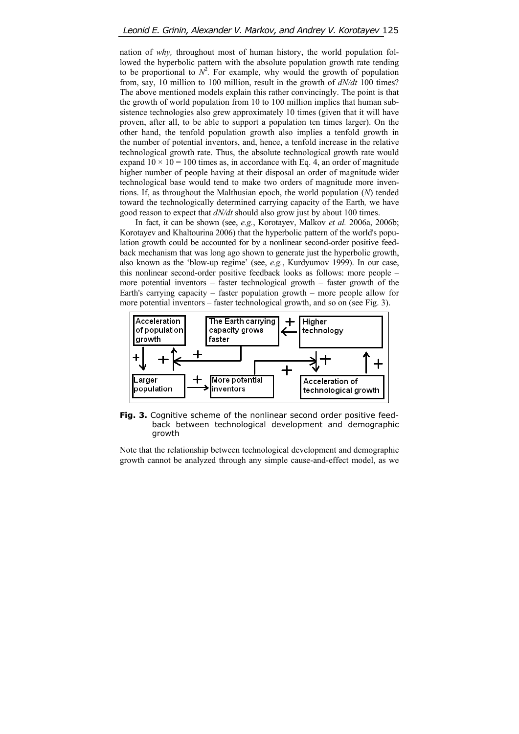nation of *why,* throughout most of human history, the world population followed the hyperbolic pattern with the absolute population growth rate tending to be proportional to  $N^2$ . For example, why would the growth of population from, say, 10 million to 100 million, result in the growth of *dN/dt* 100 times? The above mentioned models explain this rather convincingly. The point is that the growth of world population from 10 to 100 million implies that human subsistence technologies also grew approximately 10 times (given that it will have proven, after all, to be able to support a population ten times larger). On the other hand, the tenfold population growth also implies a tenfold growth in the number of potential inventors, and, hence, a tenfold increase in the relative technological growth rate. Thus, the absolute technological growth rate would expand  $10 \times 10 = 100$  times as, in accordance with Eq. 4, an order of magnitude higher number of people having at their disposal an order of magnitude wider technological base would tend to make two orders of magnitude more inventions. If, as throughout the Malthusian epoch, the world population (*N*) tended toward the technologically determined carrying capacity of the Earth*,* we have good reason to expect that *dN/dt* should also grow just by about 100 times.

In fact, it can be shown (see, *e.g.*, Korotayev, Malkov *et al.* 2006a, 2006b; Korotayev and Khaltourina 2006) that the hyperbolic pattern of the world's population growth could be accounted for by a nonlinear second-order positive feedback mechanism that was long ago shown to generate just the hyperbolic growth, also known as the 'blow-up regime' (see, *e.g.*, Kurdyumov 1999). In our case, this nonlinear second-order positive feedback looks as follows: more people – more potential inventors – faster technological growth – faster growth of the Earth's carrying capacity – faster population growth – more people allow for more potential inventors – faster technological growth, and so on (see Fig. 3).



**Fig. 3.** Cognitive scheme of the nonlinear second order positive feedback between technological development and demographic growth

Note that the relationship between technological development and demographic growth cannot be analyzed through any simple cause-and-effect model, as we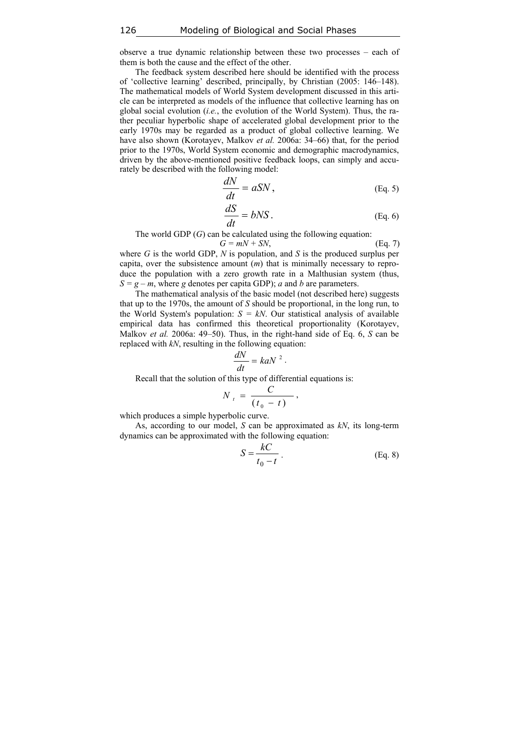observe a true dynamic relationship between these two processes – each of them is both the cause and the effect of the other.

The feedback system described here should be identified with the process of 'collective learning' described, principally, by Christian (2005: 146–148). The mathematical models of World System development discussed in this article can be interpreted as models of the influence that collective learning has on global social evolution (*i.e.*, the evolution of the World System). Thus, the rather peculiar hyperbolic shape of accelerated global development prior to the early 1970s may be regarded as a product of global collective learning. We have also shown (Korotayev, Malkov *et al.* 2006a: 34–66) that, for the period prior to the 1970s, World System economic and demographic macrodynamics, driven by the above-mentioned positive feedback loops, can simply and accurately be described with the following model:

$$
\frac{dN}{dt} = aSN, \qquad (Eq. 5)
$$

$$
\frac{dS}{dt} = bNS.
$$
 (Eq. 6)

The world GDP (*G*) can be calculated using the following equation:

$$
G = mN + SN,
$$
 (Eq. 7)  
OP *N* is population and *S* is the produced surplus per

where *G* is the world GDP, *N* is population, and *S* is the produced surplus per capita, over the subsistence amount (*m*) that is minimally necessary to reproduce the population with a zero growth rate in a Malthusian system (thus,  $S = g - m$ , where *g* denotes per capita GDP); *a* and *b* are parameters.

The mathematical analysis of the basic model (not described here) suggests that up to the 1970s, the amount of *S* should be proportional, in the long run, to the World System's population:  $S = kN$ . Our statistical analysis of available empirical data has confirmed this theoretical proportionality (Korotayev, Malkov *et al.* 2006a: 49–50). Thus, in the right-hand side of Eq. 6, *S* can be replaced with *kN*, resulting in the following equation:

$$
\frac{dN}{dt} = kaN^2.
$$

Recall that the solution of this type of differential equations is:

$$
N_t = \frac{C}{(t_0 - t)},
$$

which produces a simple hyperbolic curve.

As, according to our model, *S* can be approximated as *kN*, its long-term dynamics can be approximated with the following equation:

$$
S = \frac{kC}{t_0 - t} \tag{Eq. 8}
$$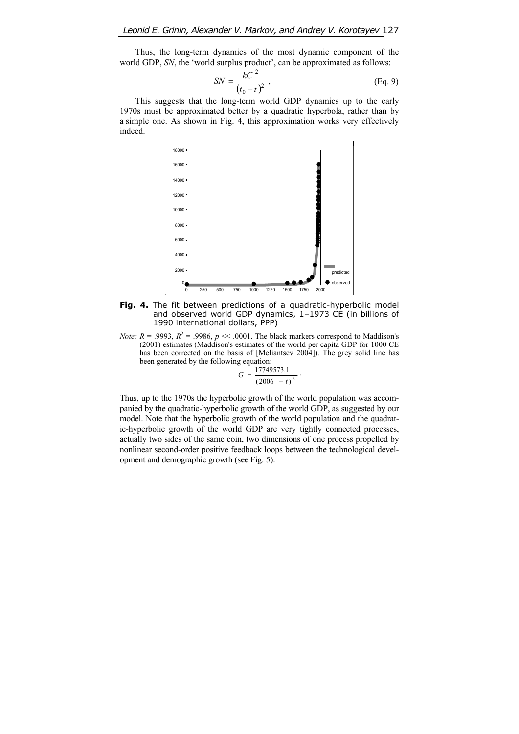Thus, the long-term dynamics of the most dynamic component of the world GDP, *SN*, the 'world surplus product', can be approximated as follows:

$$
SN = \frac{kC^2}{(t_0 - t)^2}.
$$
 (Eq. 9)

This suggests that the long-term world GDP dynamics up to the early 1970s must be approximated better by a quadratic hyperbola, rather than by a simple one. As shown in Fig. 4, this approximation works very effectively indeed.



Fig. 4. The fit between predictions of a quadratic-hyperbolic model and observed world GDP dynamics, 1–1973 CE (in billions of 1990 international dollars, PPP)

*Note: R* = .9993,  $R^2$  = .9986,  $p \ll 0.001$ . The black markers correspond to Maddison's (2001) estimates (Maddison's estimates of the world per capita GDP for 1000 CE has been corrected on the basis of [Meliantsev 2004]). The grey solid line has been generated by the following equation:

$$
G = \frac{17749573.1}{(2006 - t)^2}.
$$

Thus, up to the 1970s the hyperbolic growth of the world population was accompanied by the quadratic-hyperbolic growth of the world GDP, as suggested by our model. Note that the hyperbolic growth of the world population and the quadratic-hyperbolic growth of the world GDP are very tightly connected processes, actually two sides of the same coin, two dimensions of one process propelled by nonlinear second-order positive feedback loops between the technological development and demographic growth (see Fig. 5).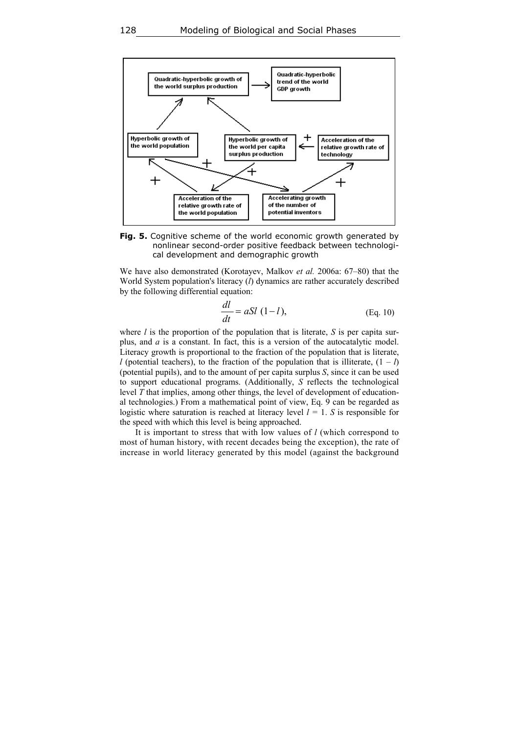

**Fig. 5.** Cognitive scheme of the world economic growth generated by nonlinear second-order positive feedback between technological development and demographic growth

We have also demonstrated (Korotayev, Malkov *et al.* 2006a: 67–80) that the World System population's literacy (*l*) dynamics are rather accurately described by the following differential equation:

$$
\frac{dl}{dt} = aSl (1-l),
$$
 (Eq. 10)

where *l* is the proportion of the population that is literate, *S* is per capita surplus, and *a* is a constant. In fact, this is a version of the autocatalytic model. Literacy growth is proportional to the fraction of the population that is literate, *l* (potential teachers), to the fraction of the population that is illiterate,  $(1 - l)$ (potential pupils), and to the amount of per capita surplus *S*, since it can be used to support educational programs. (Additionally, *S* reflects the technological level *T* that implies, among other things, the level of development of educational technologies.) From a mathematical point of view, Eq. 9 can be regarded as logistic where saturation is reached at literacy level  $l = 1$ . *S* is responsible for the speed with which this level is being approached.

It is important to stress that with low values of *l* (which correspond to most of human history, with recent decades being the exception), the rate of increase in world literacy generated by this model (against the background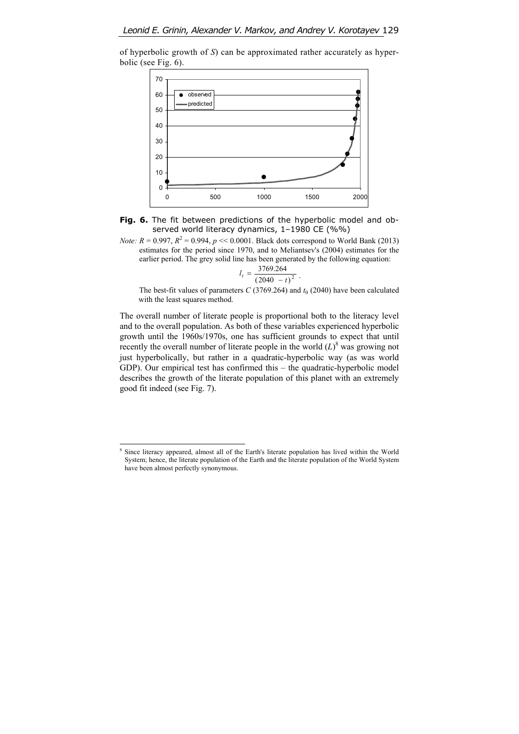

of hyperbolic growth of *S*) can be approximated rather accurately as hyperbolic (see Fig. 6).



*Note:*  $R = 0.997$ ,  $R^2 = 0.994$ ,  $p \ll 0.0001$ . Black dots correspond to World Bank (2013) estimates for the period since 1970, and to Meliantsev's (2004) estimates for the earlier period. The grey solid line has been generated by the following equation:

$$
l_t = \frac{3769.264}{\left(2040 - t\right)^2} \ .
$$

The best-fit values of parameters *C* (3769.264) and  $t_0$  (2040) have been calculated with the least squares method.

The overall number of literate people is proportional both to the literacy level and to the overall population. As both of these variables experienced hyperbolic growth until the 1960s/1970s, one has sufficient grounds to expect that until recently the overall number of literate people in the world  $(L)$ <sup>8</sup> was growing not just hyperbolically, but rather in a quadratic-hyperbolic way (as was world GDP). Our empirical test has confirmed this – the quadratic-hyperbolic model describes the growth of the literate population of this planet with an extremely good fit indeed (see Fig. 7).

 $\overline{a}$ 

<sup>8</sup> Since literacy appeared, almost all of the Earth's literate population has lived within the World System; hence, the literate population of the Earth and the literate population of the World System have been almost perfectly synonymous.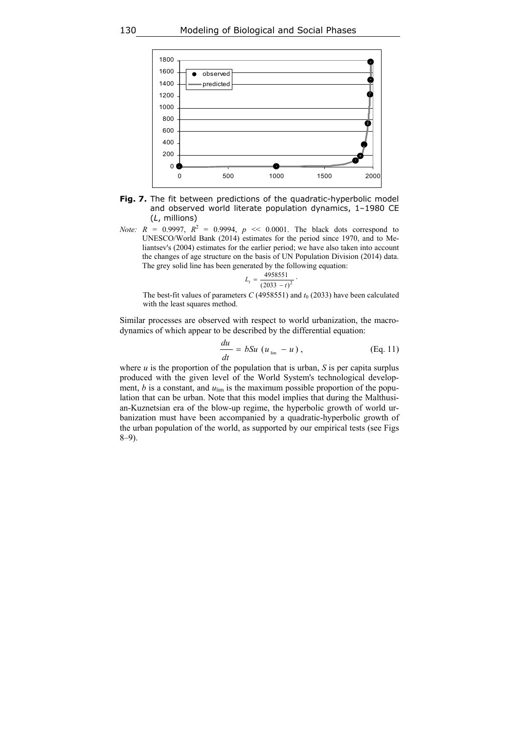

- **Fig. 7.** The fit between predictions of the quadratic-hyperbolic model and observed world literate population dynamics, 1–1980 CE (*L*, millions)
- *Note:*  $R = 0.9997$ ,  $R^2 = 0.9994$ ,  $p \ll 0.0001$ . The black dots correspond to UNESCO/World Bank (2014) estimates for the period since 1970, and to Meliantsev's (2004) estimates for the earlier period; we have also taken into account the changes of age structure on the basis of UN Population Division (2014) data. The grey solid line has been generated by the following equation:

$$
L_t = \frac{4958551}{(2033 - t)^2} \cdot
$$

The best-fit values of parameters  $C$  (4958551) and  $t_0$  (2033) have been calculated with the least squares method.

Similar processes are observed with respect to world urbanization, the macrodynamics of which appear to be described by the differential equation:

$$
\frac{du}{dt} = bSu \left( u_{\text{lim}} - u \right), \tag{Eq. 11}
$$

where  $u$  is the proportion of the population that is urban,  $S$  is per capita surplus produced with the given level of the World System's technological development,  $b$  is a constant, and  $u_{\text{lim}}$  is the maximum possible proportion of the population that can be urban. Note that this model implies that during the Malthusian-Kuznetsian era of the blow-up regime, the hyperbolic growth of world urbanization must have been accompanied by a quadratic-hyperbolic growth of the urban population of the world, as supported by our empirical tests (see Figs 8–9).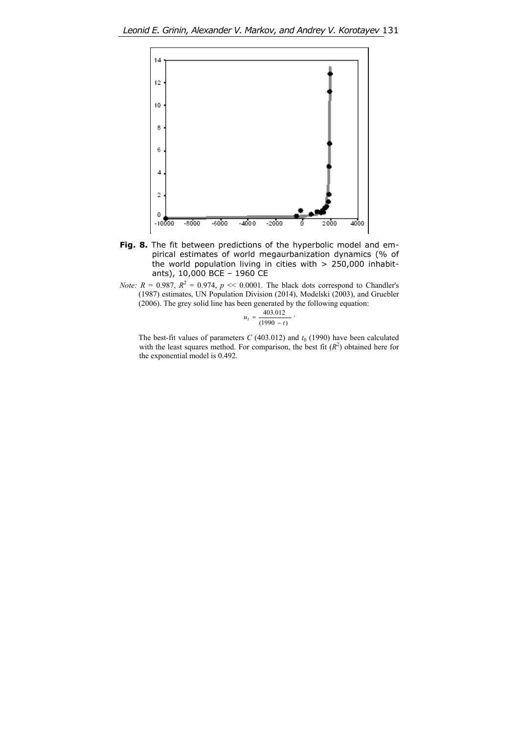

- Fig. 8. The fit between predictions of the hyperbolic model and empirical estimates of world megaurbanization dynamics (% of the world population living in cities with > 250,000 inhabitants), 10,000 BCE – 1960 CE
- *Note:*  $R = 0.987$ ,  $R^2 = 0.974$ ,  $p \ll 0.0001$ . The black dots correspond to Chandler's (1987) estimates, UN Population Division (2014), Modelski (2003), and Gruebler (2006). The grey solid line has been generated by the following equation:

$$
u_t = \frac{403.012}{(1990 - t)}.
$$

The best-fit values of parameters *C* (403.012) and  $t_0$  (1990) have been calculated with the least squares method. For comparison, the best fit  $(R^2)$  obtained here for the exponential model is 0.492.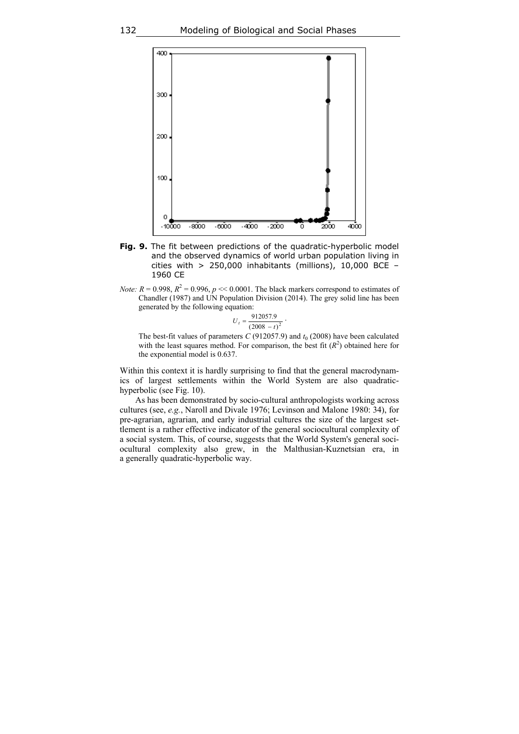

- **Fig. 9.** The fit between predictions of the quadratic-hyperbolic model and the observed dynamics of world urban population living in cities with  $> 250,000$  inhabitants (millions), 10,000 BCE -1960 CE
- *Note:*  $R = 0.998$ ,  $R^2 = 0.996$ ,  $p \ll 0.0001$ . The black markers correspond to estimates of Chandler (1987) and UN Population Division (2014). The grey solid line has been generated by the following equation:

$$
U_t = \frac{912057.9}{(2008 - t)^2} \cdot
$$

The best-fit values of parameters *C* (912057.9) and  $t_0$  (2008) have been calculated with the least squares method. For comparison, the best fit  $(R<sup>2</sup>)$  obtained here for the exponential model is 0.637.

Within this context it is hardly surprising to find that the general macrodynamics of largest settlements within the World System are also quadratichyperbolic (see Fig. 10).

As has been demonstrated by socio-cultural anthropologists working across cultures (see, *e.g.*, Naroll and Divale 1976; Levinson and Malone 1980: 34), for pre-agrarian, agrarian, and early industrial cultures the size of the largest settlement is a rather effective indicator of the general sociocultural complexity of a social system. This, of course, suggests that the World System's general sociocultural complexity also grew, in the Malthusian-Kuznetsian era, in a generally quadratic-hyperbolic way.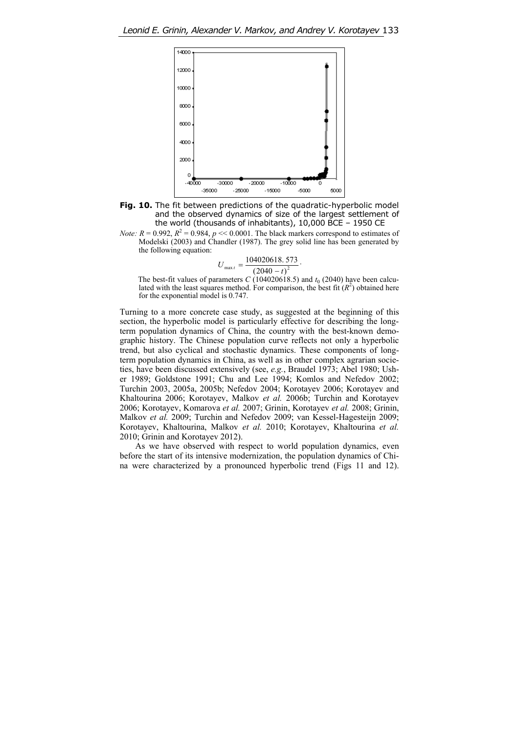

**Fig. 10.** The fit between predictions of the quadratic-hyperbolic model and the observed dynamics of size of the largest settlement of the world (thousands of inhabitants), 10,000 BCE – 1950 CE

*Note:*  $R = 0.992$ ,  $R^2 = 0.984$ ,  $p \ll 0.0001$ . The black markers correspond to estimates of Modelski (2003) and Chandler (1987). The grey solid line has been generated by the following equation:

$$
U_{\max t} = \frac{104020618.573}{(2040 - t)^2}.
$$

The best-fit values of parameters  $C(104020618.5)$  and  $t_0(2040)$  have been calculated with the least squares method. For comparison, the best fit  $(R^2)$  obtained here for the exponential model is 0.747.

Turning to a more concrete case study, as suggested at the beginning of this section, the hyperbolic model is particularly effective for describing the longterm population dynamics of China, the country with the best-known demographic history. The Chinese population curve reflects not only a hyperbolic trend, but also cyclical and stochastic dynamics. These components of longterm population dynamics in China, as well as in other complex agrarian societies, have been discussed extensively (see, *e.g.*, Braudel 1973; Abel 1980; Usher 1989; Goldstone 1991; Chu and Lee 1994; Komlos and Nefedov 2002; Turchin 2003, 2005a, 2005b; Nefedov 2004; Korotayev 2006; Korotayev and Khaltourina 2006; Korotayev, Malkov *et al.* 2006b; Turchin and Korotayev 2006; Korotayev, Komarova *et al.* 2007; Grinin, Korotayev *et al.* 2008; Grinin, Malkov *et al.* 2009; Turchin and Nefedov 2009; van Kessel-Hagesteijn 2009; Korotayev, Khaltourina, Malkov *et al.* 2010; Korotayev, Khaltourina *et al.* 2010; Grinin and Korotayev 2012).

As we have observed with respect to world population dynamics, even before the start of its intensive modernization, the population dynamics of China were characterized by a pronounced hyperbolic trend (Figs 11 and 12).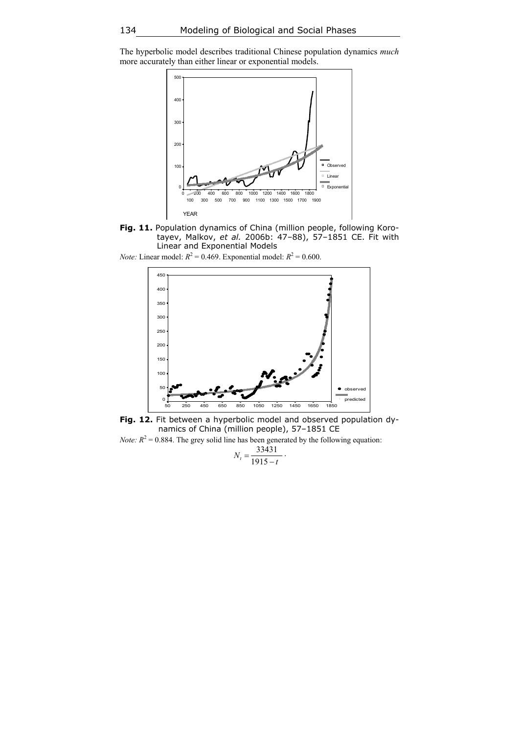The hyperbolic model describes traditional Chinese population dynamics *much* more accurately than either linear or exponential models.



**Fig. 11.** Population dynamics of China (million people, following Korotayev, Malkov, *et al.* 2006b: 47–88), 57–1851 CE. Fit with Linear and Exponential Models

*Note:* Linear model:  $R^2 = 0.469$ . Exponential model:  $R^2 = 0.600$ .



**Fig. 12.** Fit between a hyperbolic model and observed population dynamics of China (million people), 57–1851 CE *Note:*  $R^2 = 0.884$ . The grey solid line has been generated by the following equation:

 $N_t = \frac{33431}{1915 - t}$  $\frac{33431}{ }$ .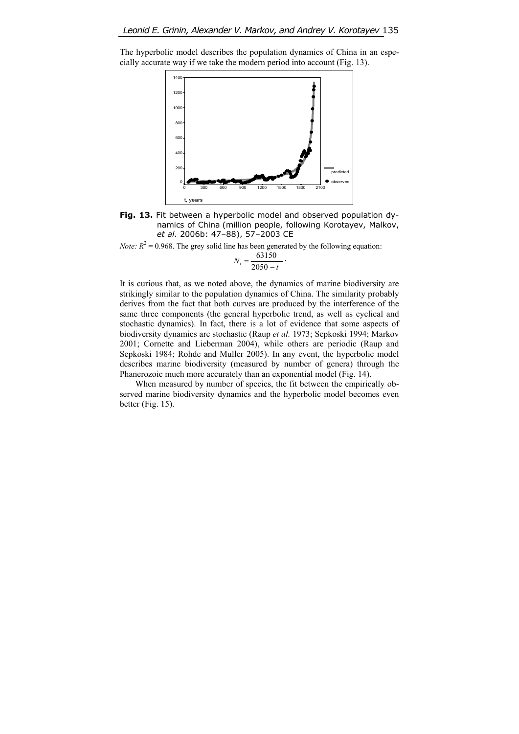The hyperbolic model describes the population dynamics of China in an especially accurate way if we take the modern period into account (Fig. 13).



**Fig. 13.** Fit between a hyperbolic model and observed population dynamics of China (million people, following Korotayev, Malkov, *et al.* 2006b: 47–88), 57–2003 CE

*Note:*  $R^2 = 0.968$ . The grey solid line has been generated by the following equation:

$$
N_t = \frac{63150}{2050 - t} \, .
$$

It is curious that, as we noted above, the dynamics of marine biodiversity are strikingly similar to the population dynamics of China. The similarity probably derives from the fact that both curves are produced by the interference of the same three components (the general hyperbolic trend, as well as cyclical and stochastic dynamics). In fact, there is a lot of evidence that some aspects of biodiversity dynamics are stochastic (Raup *et al.* 1973; Sepkoski 1994; Markov 2001; Cornette and Lieberman 2004), while others are periodic (Raup and Sepkoski 1984; Rohde and Muller 2005). In any event, the hyperbolic model describes marine biodiversity (measured by number of genera) through the Phanerozoic much more accurately than an exponential model (Fig. 14).

When measured by number of species, the fit between the empirically observed marine biodiversity dynamics and the hyperbolic model becomes even better (Fig. 15).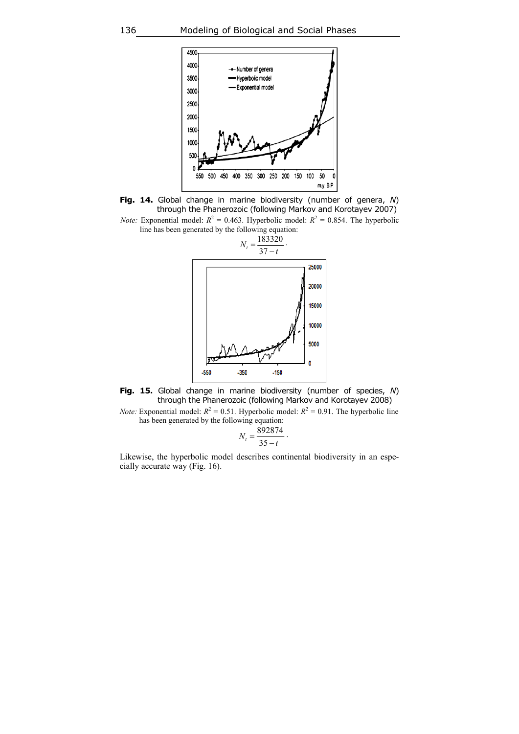



*Note:* Exponential model:  $R^2 = 0.463$ . Hyperbolic model:  $R^2 = 0.854$ . The hyperbolic line has been generated by the following equation:





*Note:* Exponential model:  $R^2 = 0.51$ . Hyperbolic model:  $R^2 = 0.91$ . The hyperbolic line has been generated by the following equation:

$$
N_t = \frac{892874}{35 - t}.
$$

Likewise, the hyperbolic model describes continental biodiversity in an especially accurate way (Fig. 16).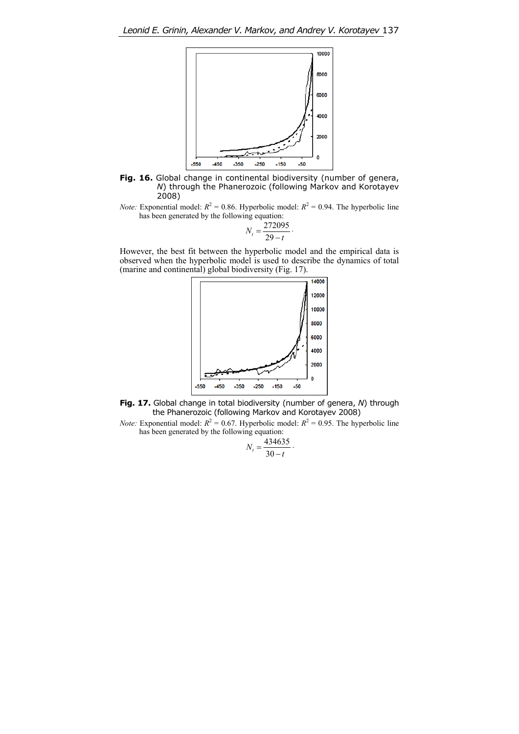

**Fig. 16.** Global change in continental biodiversity (number of genera, *N*) through the Phanerozoic (following Markov and Korotayev 2008)

*Note:* Exponential model:  $R^2 = 0.86$ . Hyperbolic model:  $R^2 = 0.94$ . The hyperbolic line has been generated by the following equation:

$$
N_t = \frac{272095}{29 - t}.
$$

However, the best fit between the hyperbolic model and the empirical data is observed when the hyperbolic model is used to describe the dynamics of total (marine and continental) global biodiversity (Fig. 17).



**Fig. 17.** Global change in total biodiversity (number of genera, *N*) through the Phanerozoic (following Markov and Korotayev 2008)

*Note:* Exponential model:  $R^2 = 0.67$ . Hyperbolic model:  $R^2 = 0.95$ . The hyperbolic line has been generated by the following equation:

$$
N_t = \frac{434635}{30 - t}.
$$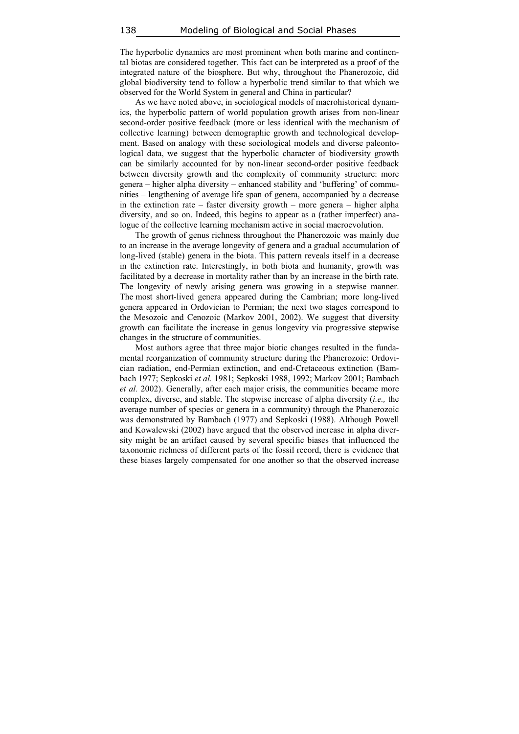The hyperbolic dynamics are most prominent when both marine and continental biotas are considered together. This fact can be interpreted as a proof of the integrated nature of the biosphere. But why, throughout the Phanerozoic, did global biodiversity tend to follow a hyperbolic trend similar to that which we observed for the World System in general and China in particular?

As we have noted above, in sociological models of macrohistorical dynamics, the hyperbolic pattern of world population growth arises from non-linear second-order positive feedback (more or less identical with the mechanism of collective learning) between demographic growth and technological development. Based on analogy with these sociological models and diverse paleontological data, we suggest that the hyperbolic character of biodiversity growth can be similarly accounted for by non-linear second-order positive feedback between diversity growth and the complexity of community structure: more genera – higher alpha diversity – enhanced stability and 'buffering' of communities – lengthening of average life span of genera, accompanied by a decrease in the extinction rate – faster diversity growth – more genera – higher alpha diversity, and so on. Indeed, this begins to appear as a (rather imperfect) analogue of the collective learning mechanism active in social macroevolution.

The growth of genus richness throughout the Phanerozoic was mainly due to an increase in the average longevity of genera and a gradual accumulation of long-lived (stable) genera in the biota. This pattern reveals itself in a decrease in the extinction rate. Interestingly, in both biota and humanity, growth was facilitated by a decrease in mortality rather than by an increase in the birth rate. The longevity of newly arising genera was growing in a stepwise manner. The most short-lived genera appeared during the Cambrian; more long-lived genera appeared in Ordovician to Permian; the next two stages correspond to the Mesozoic and Cenozoic (Markov 2001, 2002). We suggest that diversity growth can facilitate the increase in genus longevity via progressive stepwise changes in the structure of communities.

Most authors agree that three major biotic changes resulted in the fundamental reorganization of community structure during the Phanerozoic: Ordovician radiation, end-Permian extinction, and end-Cretaceous extinction (Bambach 1977; Sepkoski *et al.* 1981; Sepkoski 1988, 1992; Markov 2001; Bambach *et al.* 2002). Generally, after each major crisis, the communities became more complex, diverse, and stable. The stepwise increase of alpha diversity (*i.e.,* the average number of species or genera in a community) through the Phanerozoic was demonstrated by Bambach (1977) and Sepkoski (1988). Although Powell and Kowalewski (2002) have argued that the observed increase in alpha diversity might be an artifact caused by several specific biases that influenced the taxonomic richness of different parts of the fossil record, there is evidence that these biases largely compensated for one another so that the observed increase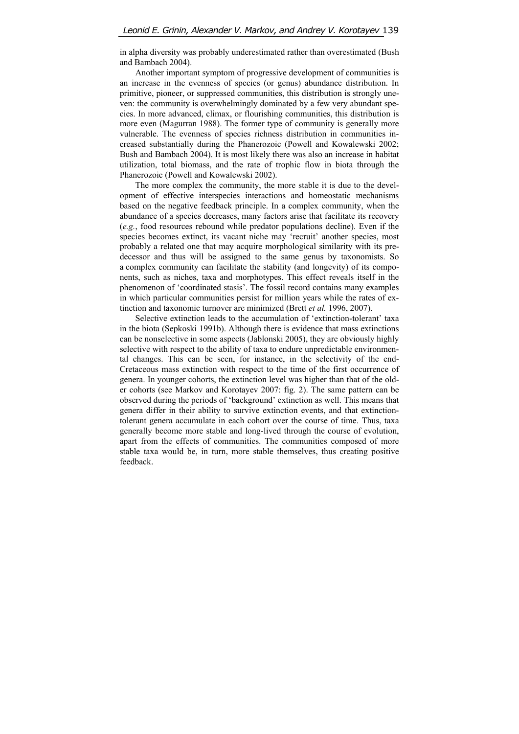in alpha diversity was probably underestimated rather than overestimated (Bush and Bambach 2004).

Another important symptom of progressive development of communities is an increase in the evenness of species (or genus) abundance distribution. In primitive, pioneer, or suppressed communities, this distribution is strongly uneven: the community is overwhelmingly dominated by a few very abundant species. In more advanced, climax, or flourishing communities, this distribution is more even (Magurran 1988). The former type of community is generally more vulnerable. The evenness of species richness distribution in communities increased substantially during the Phanerozoic (Powell and Kowalewski 2002; Bush and Bambach 2004). It is most likely there was also an increase in habitat utilization, total biomass, and the rate of trophic flow in biota through the Phanerozoic (Powell and Kowalewski 2002).

The more complex the community, the more stable it is due to the development of effective interspecies interactions and homeostatic mechanisms based on the negative feedback principle. In a complex community, when the abundance of a species decreases, many factors arise that facilitate its recovery (*e.g.*, food resources rebound while predator populations decline). Even if the species becomes extinct, its vacant niche may 'recruit' another species, most probably a related one that may acquire morphological similarity with its predecessor and thus will be assigned to the same genus by taxonomists. So a complex community can facilitate the stability (and longevity) of its components, such as niches, taxa and morphotypes. This effect reveals itself in the phenomenon of 'coordinated stasis'. The fossil record contains many examples in which particular communities persist for million years while the rates of extinction and taxonomic turnover are minimized (Brett *et al.* 1996, 2007).

Selective extinction leads to the accumulation of 'extinction-tolerant' taxa in the biota (Sepkoski 1991b). Although there is evidence that mass extinctions can be nonselective in some aspects (Jablonski 2005), they are obviously highly selective with respect to the ability of taxa to endure unpredictable environmental changes. This can be seen, for instance, in the selectivity of the end-Cretaceous mass extinction with respect to the time of the first occurrence of genera. In younger cohorts, the extinction level was higher than that of the older cohorts (see Markov and Korotayev 2007: fig. 2). The same pattern can be observed during the periods of 'background' extinction as well. This means that genera differ in their ability to survive extinction events, and that extinctiontolerant genera accumulate in each cohort over the course of time. Thus, taxa generally become more stable and long-lived through the course of evolution, apart from the effects of communities. The communities composed of more stable taxa would be, in turn, more stable themselves, thus creating positive feedback.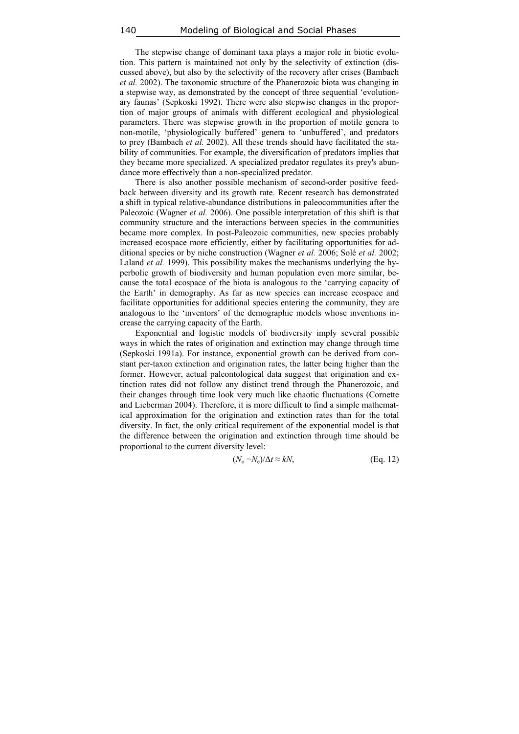The stepwise change of dominant taxa plays a major role in biotic evolution. This pattern is maintained not only by the selectivity of extinction (discussed above), but also by the selectivity of the recovery after crises (Bambach *et al.* 2002). The taxonomic structure of the Phanerozoic biota was changing in a stepwise way, as demonstrated by the concept of three sequential 'evolutionary faunas' (Sepkoski 1992). There were also stepwise changes in the proportion of major groups of animals with different ecological and physiological parameters. There was stepwise growth in the proportion of motile genera to non-motile, 'physiologically buffered' genera to 'unbuffered', and predators to prey (Bambach *et al.* 2002). All these trends should have facilitated the stability of communities. For example, the diversification of predators implies that they became more specialized. A specialized predator regulates its prey's abundance more effectively than a non-specialized predator.

There is also another possible mechanism of second-order positive feedback between diversity and its growth rate. Recent research has demonstrated a shift in typical relative-abundance distributions in paleocommunities after the Paleozoic (Wagner *et al.* 2006). One possible interpretation of this shift is that community structure and the interactions between species in the communities became more complex. In post-Paleozoic communities, new species probably increased ecospace more efficiently, either by facilitating opportunities for additional species or by niche construction (Wagner *et al.* 2006; Solé *et al.* 2002; Laland *et al.* 1999). This possibility makes the mechanisms underlying the hyperbolic growth of biodiversity and human population even more similar, because the total ecospace of the biota is analogous to the 'carrying capacity of the Earth' in demography. As far as new species can increase ecospace and facilitate opportunities for additional species entering the community, they are analogous to the 'inventors' of the demographic models whose inventions increase the carrying capacity of the Earth.

Exponential and logistic models of biodiversity imply several possible ways in which the rates of origination and extinction may change through time (Sepkoski 1991a). For instance, exponential growth can be derived from constant per-taxon extinction and origination rates, the latter being higher than the former. However, actual paleontological data suggest that origination and extinction rates did not follow any distinct trend through the Phanerozoic, and their changes through time look very much like chaotic fluctuations (Cornette and Lieberman 2004). Therefore, it is more difficult to find a simple mathematical approximation for the origination and extinction rates than for the total diversity. In fact, the only critical requirement of the exponential model is that the difference between the origination and extinction through time should be proportional to the current diversity level:

$$
(N_o - N_e)/\Delta t \approx kN, \tag{Eq. 12}
$$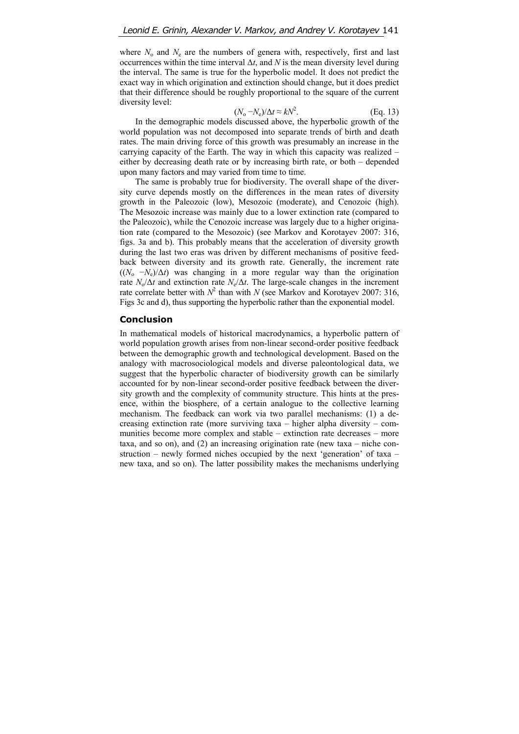where  $N_0$  and  $N_e$  are the numbers of genera with, respectively, first and last occurrences within the time interval  $\Delta t$ , and *N* is the mean diversity level during the interval. The same is true for the hyperbolic model. It does not predict the exact way in which origination and extinction should change, but it does predict that their difference should be roughly proportional to the square of the current diversity level:

$$
(N_o - N_e)/\Delta t \approx kN^2. \tag{Eq. 13}
$$

In the demographic models discussed above, the hyperbolic growth of the world population was not decomposed into separate trends of birth and death rates. The main driving force of this growth was presumably an increase in the carrying capacity of the Earth. The way in which this capacity was realized – either by decreasing death rate or by increasing birth rate, or both – depended upon many factors and may varied from time to time.

The same is probably true for biodiversity. The overall shape of the diversity curve depends mostly on the differences in the mean rates of diversity growth in the Paleozoic (low), Mesozoic (moderate), and Cenozoic (high). The Mesozoic increase was mainly due to a lower extinction rate (compared to the Paleozoic), while the Cenozoic increase was largely due to a higher origination rate (compared to the Mesozoic) (see Markov and Korotayev 2007: 316, figs. 3a and b). This probably means that the acceleration of diversity growth during the last two eras was driven by different mechanisms of positive feedback between diversity and its growth rate. Generally, the increment rate  $((N_0 - N_1)/\Delta t)$  was changing in a more regular way than the origination rate  $N_o/\Delta t$  and extinction rate  $N_e/\Delta t$ . The large-scale changes in the increment rate correlate better with  $N^2$  than with *N* (see Markov and Korotayev 2007: 316, Figs 3c and d), thus supporting the hyperbolic rather than the exponential model.

#### **Conclusion**

In mathematical models of historical macrodynamics, a hyperbolic pattern of world population growth arises from non-linear second-order positive feedback between the demographic growth and technological development. Based on the analogy with macrosociological models and diverse paleontological data, we suggest that the hyperbolic character of biodiversity growth can be similarly accounted for by non-linear second-order positive feedback between the diversity growth and the complexity of community structure. This hints at the presence, within the biosphere, of a certain analogue to the collective learning mechanism. The feedback can work via two parallel mechanisms: (1) a decreasing extinction rate (more surviving taxa – higher alpha diversity – communities become more complex and stable – extinction rate decreases – more taxa, and so on), and (2) an increasing origination rate (new taxa – niche construction – newly formed niches occupied by the next 'generation' of taxa – new taxa, and so on). The latter possibility makes the mechanisms underlying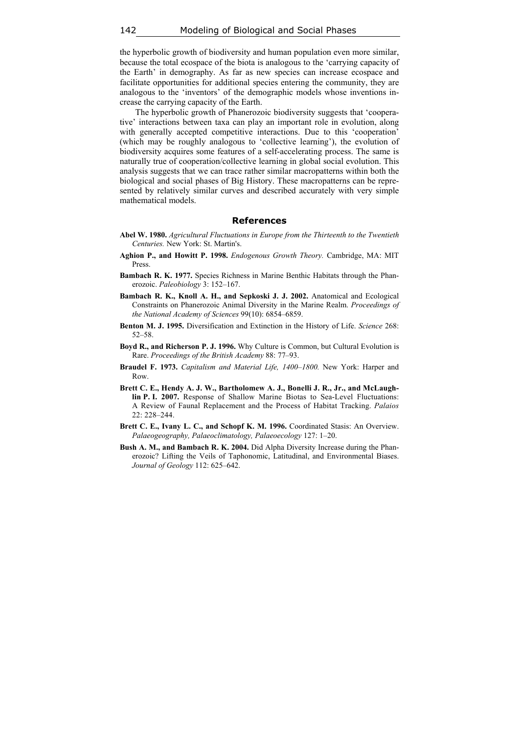the hyperbolic growth of biodiversity and human population even more similar, because the total ecospace of the biota is analogous to the 'carrying capacity of the Earth' in demography. As far as new species can increase ecospace and facilitate opportunities for additional species entering the community, they are analogous to the 'inventors' of the demographic models whose inventions increase the carrying capacity of the Earth.

The hyperbolic growth of Phanerozoic biodiversity suggests that 'cooperative' interactions between taxa can play an important role in evolution, along with generally accepted competitive interactions. Due to this 'cooperation' (which may be roughly analogous to 'collective learning'), the evolution of biodiversity acquires some features of a self-accelerating process. The same is naturally true of cooperation/collective learning in global social evolution. This analysis suggests that we can trace rather similar macropatterns within both the biological and social phases of Big History. These macropatterns can be represented by relatively similar curves and described accurately with very simple mathematical models.

#### **References**

- **Abel W. 1980.** *Agricultural Fluctuations in Europe from the Thirteenth to the Twentieth Centuries.* New York: St. Martin's.
- **Aghion P., and Howitt P. 1998.** *Endogenous Growth Theory.* Cambridge, MA: MIT Press.
- **Bambach R. K. 1977.** Species Richness in Marine Benthic Habitats through the Phanerozoic. *Paleobiology* 3: 152–167.
- **Bambach R. K., Knoll A. H., and Sepkoski J. J. 2002.** Anatomical and Ecological Constraints on Phanerozoic Animal Diversity in the Marine Realm. *Proceedings of the National Academy of Sciences* 99(10): 6854–6859.
- **Benton M. J. 1995.** Diversification and Extinction in the History of Life. *Science* 268: 52–58.
- **Boyd R., and Richerson P. J. 1996.** Why Culture is Common, but Cultural Evolution is Rare. *Proceedings of the British Academy* 88: 77–93.
- **Braudel F. 1973.** *Capitalism and Material Life, 1400–1800.* New York: Harper and Row.
- **Brett C. E., Hendy A. J. W., Bartholomew A. J., Bonelli J. R., Jr., and McLaughlin P. I. 2007.** Response of Shallow Marine Biotas to Sea-Level Fluctuations: A Review of Faunal Replacement and the Process of Habitat Tracking. *Palaios* 22: 228–244.
- **Brett C. E., Ivany L. C., and Schopf K. M. 1996.** Coordinated Stasis: An Overview. *Palaeogeography, Palaeoclimatology, Palaeoecology* 127: 1–20.
- **Bush A. M., and Bambach R. K. 2004.** Did Alpha Diversity Increase during the Phanerozoic? Lifting the Veils of Taphonomic, Latitudinal, and Environmental Biases. *Journal of Geology* 112: 625–642.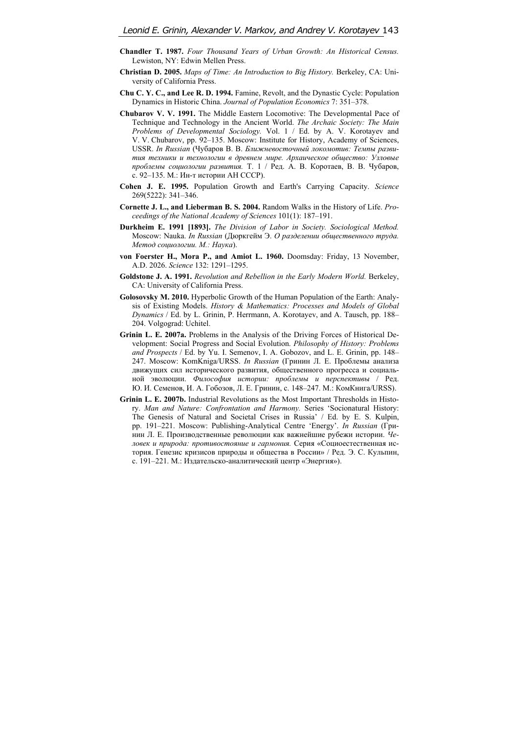- **Chandler T. 1987.** *Four Thousand Years of Urban Growth: An Historical Census.* Lewiston, NY: Edwin Mellen Press.
- **Christian D. 2005.** *Maps of Time: An Introduction to Big History.* Berkeley, CA: University of California Press.
- **Chu C. Y. C., and Lee R. D. 1994.** Famine, Revolt, and the Dynastic Cycle: Population Dynamics in Historic China. *Journal of Population Economics* 7: 351–378.
- **Chubarov V. V. 1991.** The Middle Eastern Locomotive: The Developmental Pace of Technique and Technology in the Ancient World. *The Archaic Society: The Main Problems of Developmental Sociology.* Vol. 1 / Ed. by A. V. Korotayev and V. V. Chubarov, pp. 92–135. Moscow: Institute for History, Academy of Sciences, USSR. *In Russian* (Чубаров В. В. *Ближневосточный локомотив: Темпы развития техники и технологии в древнем мире. Архаическое общество: Узловые проблемы социологии развития.* Т. 1 / Ред. А. В. Коротаев, В. В. Чубаров, с. 92–135. М.: Ин-т истории АН СССР).
- **Cohen J. E. 1995.** Population Growth and Earth's Carrying Capacity. *Science* 269(5222): 341–346.
- **Cornette J. L., and Lieberman B. S. 2004.** Random Walks in the History of Life. *Proceedings of the National Academy of Sciences* 101(1): 187–191.
- **Durkheim E. 1991 [1893].** *The Division of Labor in Society. Sociological Method.*  Moscow: Nauka. *In Russian* (Дюркгейм Э. *О разделении общественного труда. Метод социологии. М.: Наука*).
- **von Foerster H., Mora P., and Amiot L. 1960.** Doomsday: Friday, 13 November, A.D. 2026. *Science* 132: 1291–1295.
- **Goldstone J. A. 1991.** *Revolution and Rebellion in the Early Modern World.* Berkeley, CA: University of California Press.
- **Golosovsky M. 2010.** Hyperbolic Growth of the Human Population of the Earth: Analysis of Existing Models. *History & Mathematics: Processes and Models of Global Dynamics* / Ed. by L. Grinin, P. Herrmann, A. Korotayev, and A. Tausch, pp. 188– 204. Volgograd: Uchitel.
- **Grinin L. E. 2007a.** Problems in the Analysis of the Driving Forces of Historical Development: Social Progress and Social Evolution. *Philosophy of History: Problems and Prospects* / Ed. by Yu. I. Semenov, I. A. Gobozov, and L. E. Grinin, pp. 148– 247. Moscow: KomKniga/URSS. *In Russian* (Гринин Л. Е. Проблемы анализа движущих сил исторического развития, общественного прогресса и социальной эволюции. *Философия истории: проблемы и перспективы* / Ред. Ю. И. Семенов, И. А. Гобозов, Л. Е. Гринин, с. 148–247. М.: КомКнига/URSS).
- **Grinin L. E. 2007b.** Industrial Revolutions as the Most Important Thresholds in History. *Man and Nature: Confrontation and Harmony.* Series 'Socionatural History: The Genesis of Natural and Societal Crises in Russia' / Ed. by E. S. Kulpin, pp. 191–221. Moscow: Publishing-Analytical Centre 'Energy'. *In Russian* (Гринин Л. Е. Производственные революции как важнейшие рубежи истории. *Человек и природа: противостояние и гармония.* Серия «Социоестественная история. Генезис кризисов природы и общества в России» / Ред. Э. С. Кульпин, с. 191–221. М.: Издательско-аналитический центр «Энергия»).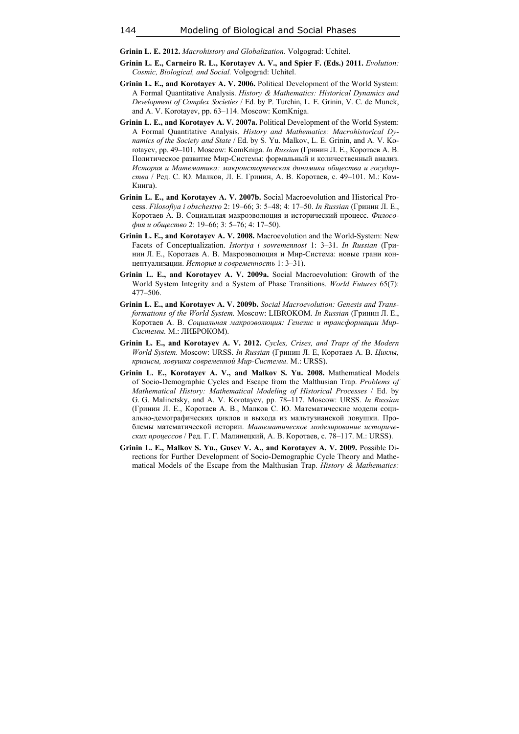**Grinin L. E. 2012.** *Macrohistory and Globalization.* Volgograd: Uchitel.

- **Grinin L. E., Carneiro R. L., Korotayev A. V., and Spier F. (Eds.) 2011.** *Evolution: Cosmic, Biological, and Social.* Volgograd: Uchitel.
- **Grinin L. E., and Korotayev A. V. 2006.** Political Development of the World System: A Formal Quantitative Analysis. *History & Mathematics: Historical Dynamics and Development of Complex Societies* / Ed. by P. Turchin, L. E. Grinin, V. C. de Munck, and A. V. Korotayev, pp. 63–114. Moscow: KomKniga.
- **Grinin L. E., and Korotayev A. V. 2007a.** Political Development of the World System: A Formal Quantitative Analysis. *History and Mathematics: Macrohistorical Dynamics of the Society and State* / Ed. by S. Yu. Malkov, L. E. Grinin, and A. V. Korotayev, pp. 49–101. Moscow: KomKniga. *In Russian* (Гринин Л. Е., Коротаев А. В. Политическое развитие Мир-Системы: формальный и количественный анализ. *История и Математика: макроисторическая динамика общества и государства* / Ред. С. Ю. Малков, Л. Е. Гринин, А. В. Коротаев, с. 49–101. М.: Ком-Книга).
- **Grinin L. E., and Korotayev A. V. 2007b.** Social Macroevolution and Historical Process. *Filosofiya i obschestvo* 2: 19–66; 3: 5–48; 4: 17–50. *In Russian* (Гринин Л. Е., Коротаев А. В. Социальная макроэволюция и исторический процесс. *Философия и общество* 2: 19–66; 3: 5–76; 4: 17–50).
- **Grinin L. E., and Korotayev A. V. 2008.** Macroevolution and the World-System: New Facets of Conceptualization. *Istoriya i sovremennost* 1: 3–31. *In Russian* (Гринин Л. Е., Коротаев А. В. Макроэволюция и Мир-Система: новые грани концептуализации. *История и современность* 1: 3–31).
- **Grinin L. E., and Korotayev A. V. 2009а.** Social Macroevolution: Growth of the World System Integrity and a System of Phase Transitions. *World Futures* 65(7): 477–506.
- **Grinin L. E., and Korotayev A. V. 2009b.** *Social Macroevolution: Genesis and Transformations of the World System.* Moscow: LIBROKOM. *In Russian* (Гринин Л. Е., Коротаев А. В. *Социальная макроэволюция: Генезис и трансформации Мир-Системы.* М.: ЛИБРОКОМ).
- **Grinin L. E., and Korotayev A. V. 2012.** *Cycles, Crises, and Traps of the Modern World System.* Moscow: URSS. *In Russian* (Гринин Л. Е, Коротаев А. В. *Циклы, кризисы, ловушки современной Мир-Системы.* М.: URSS).
- **Grinin L. E., Korotayev A. V., and Malkov S. Yu. 2008.** Mathematical Models of Socio-Demographic Cycles and Escape from the Malthusian Trap. *Problems of Mathematical History: Mathematical Modeling of Historical Processes* / Ed. by G. G. Malinetsky, and A. V. Korotayev, pp. 78–117. Moscow: URSS. *In Russian* (Гринин Л. Е., Коротаев А. В., Малков С. Ю. Математические модели социально-демографических циклов и выхода из мальтузианской ловушки. Проблемы математической истории. *Математическое моделирование исторических процессов* / Ред. Г. Г. Малинецкий, А. В. Коротаев, с. 78–117. М.: URSS).
- **Grinin L. E., Malkov S. Yu., Gusev V. A., and Korotayev A. V. 2009.** Possible Directions for Further Development of Socio-Demographic Cycle Theory and Mathematical Models of the Escape from the Malthusian Trap. *History & Mathematics:*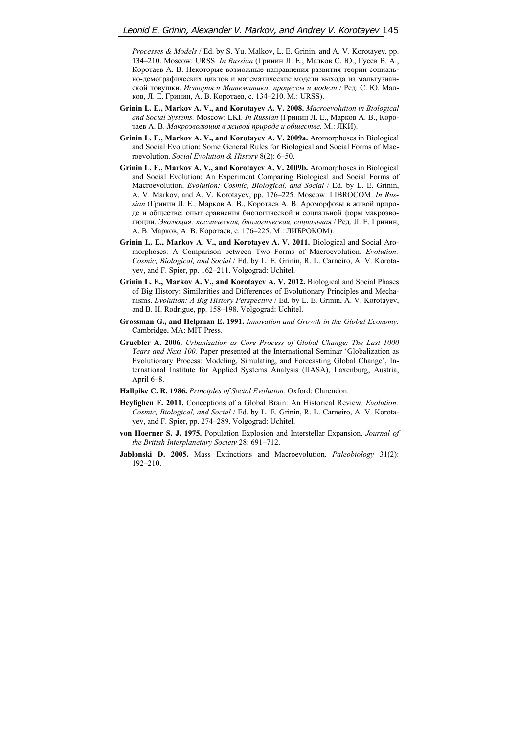*Processes & Models* / Ed. by S. Yu. Malkov, L. E. Grinin, and A. V. Korotayev, pp. 134–210. Moscow: URSS. *In Russian* (Гринин Л. Е., Малков С. Ю., Гусев В. А., Коротаев А. В. Некоторые возможные направления развития теории социально-демографических циклов и математические модели выхода из мальтузианской ловушки. *История и Математика: процессы и модели* / Ред. С. Ю. Малков, Л. Е. Гринин, А. В. Коротаев, с. 134–210. М.: URSS).

- **Grinin L. E., Markov A. V., and Korotayev A. V. 2008.** *Macroevolution in Biological and Social Systems.* Мoscow: LKI. *In Russian* (Гринин Л. Е., Марков А. В., Коротаев А. В. *Макроэволюция в живой природе и обществе.* М.: ЛКИ).
- **Grinin L. E., Markov A. V., and Korotayev A. V. 2009a.** Aromorphoses in Biological and Social Evolution: Some General Rules for Biological and Social Forms of Macroevolution. *Social Evolution & History* 8(2): 6–50.
- **Grinin L. E., Markov A. V., and Korotayev A. V. 2009b.** Aromorphoses in Biological and Social Evolution: An Experiment Comparing Biological and Social Forms of Macroevolution. *Evolution: Cosmic, Biological, and Social* / Ed. by L. E. Grinin, A. V. Markov, and A. V. Korotayev, pp. 176–225. Moscow: LIBROCOM. *In Russian* (Гринин Л. Е., Марков А. В., Коротаев А. В. Ароморфозы в живой природе и обществе: опыт сравнения биологической и социальной форм макроэволюции. *Эволюция: космическая, биологическая, социальная* / Ред. Л. Е. Гринин, А. В. Марков, А. В. Коротаев, с. 176–225. М.: ЛИБРОКОМ).
- **Grinin L. E., Markov A. V., and Korotayev A. V. 2011.** Biological and Social Aromorphoses: A Comparison between Two Forms of Macroevolution. *Evolution: Cosmic, Biological, and Social* / Ed. by L. E. Grinin, R. L. Carneiro, A. V. Korotayev, and F. Spier, pp. 162–211. Volgograd: Uchitel.
- **Grinin L. E., Markov A. V., and Korotayev A. V. 2012.** Biological and Social Phases of Big History: Similarities and Differences of Evolutionary Principles and Mechanisms. *Evolution: A Big History Perspective* / Ed. by L. E. Grinin, A. V. Korotayev, and B. H. Rodrigue, pp. 158–198. Volgograd: Uchitel.
- **Grossman G., and Helpman E. 1991.** *Innovation and Growth in the Global Economy.*  Cambridge, MA: MIT Press.
- **Gruebler A. 2006.** *Urbanization as Core Process of Global Change: The Last 1000 Years and Next 100.* Paper presented at the International Seminar 'Globalization as Evolutionary Process: Modeling, Simulating, and Forecasting Global Change', International Institute for Applied Systems Analysis (IIASA), Laxenburg, Austria, April 6–8.
- **Hallpike C. R. 1986.** *Principles of Social Evolution.* Oxford: Clarendon.
- **Heylighen F. 2011.** Conceptions of a Global Brain: An Historical Review. *Evolution: Cosmic, Biological, and Social* / Ed. by L. E. Grinin, R. L. Carneiro, A. V. Korotayev, and F. Spier, pp. 274–289. Volgograd: Uchitel.
- **von Hoerner S. J. 1975.** Population Explosion and Interstellar Expansion. *Journal of the British Interplanetary Society* 28: 691–712.
- **Jablonski D. 2005.** Mass Extinctions and Macroevolution. *Paleobiology* 31(2): 192–210.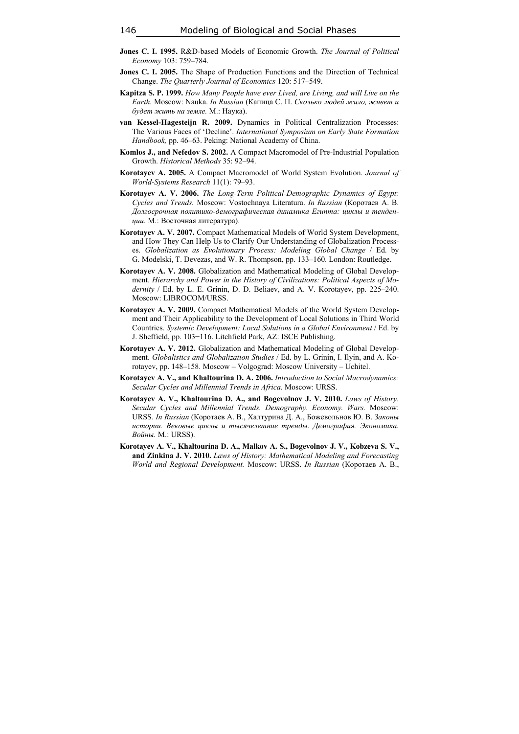- **Jones C. I. 1995.** R&D-based Models of Economic Growth. *The Journal of Political Economy* 103: 759–784.
- **Jones C. I. 2005.** The Shape of Production Functions and the Direction of Technical Change. *The Quarterly Journal of Economics* 120: 517–549.
- **Kapitza S. P. 1999.** *How Many People have ever Lived, are Living, and will Live on the Earth.* Moscow: Nauka. *In Russian* (Капица С. П. *Сколько людей жило, живет и будет жить на земле.* М.: Наука).
- **van Kessel-Hagesteijn R. 2009.** Dynamics in Political Centralization Processes: The Various Faces of 'Decline'. *International Symposium on Early State Formation Handbook,* pp. 46–63. Peking: National Academy of China.
- **Komlos J., and Nefedov S. 2002.** A Compact Macromodel of Pre-Industrial Population Growth. *Historical Methods* 35: 92–94.
- **Korotayev A. 2005.** A Compact Macromodel of World System Evolution. *Journal of World-Systems Research* 11(1): 79–93.
- **Korotayev A. V. 2006.** *The Long-Term Political-Demographic Dynamics of Egypt: Cycles and Trends.* Moscow: Vostochnaya Literatura. *In Russian* (Коротаев А. В. *Долгосрочная политико-демографическая динамика Египта: циклы и тенденции.* М.: Восточная литература).
- **Korotayev A. V. 2007.** Compact Mathematical Models of World System Development, and How They Can Help Us to Clarify Our Understanding of Globalization Processes. *Globalization as Evolutionary Process: Modeling Global Change* / Ed. by G. Modelski, T. Devezas, and W. R. Thompson, pp. 133–160. London: Routledge.
- **Korotayev A. V. 2008.** Globalization and Mathematical Modeling of Global Development. *Hierarchy and Power in the History of Civilizations: Political Aspects of Modernity* / Ed. by L. E. Grinin, D. D. Beliaev, and A. V. Korotayev, pp. 225–240. Moscow: LIBROCOM/URSS.
- **Korotayev A. V. 2009.** Compact Mathematical Models of the World System Development and Their Applicability to the Development of Local Solutions in Third World Countries. *Systemic Development: Local Solutions in a Global Environment* / Ed. by J. Sheffield, pp. 103−116. Litchfield Park, AZ: ISCE Publishing.
- **Korotayev A. V. 2012.** Globalization and Mathematical Modeling of Global Development. *Globalistics and Globalization Studies* / Ed. by L. Grinin, I. Ilyin, and A. Korotayev, pp. 148–158. Moscow – Volgograd: Moscow University – Uchitel.
- **Korotayev A. V., and Khaltourina D. A. 2006.** *Introduction to Social Macrodynamics: Secular Cycles and Millennial Trends in Africa.* Moscow: URSS.
- **Korotayev A. V., Khaltourina D. A., and Bogevolnov J. V. 2010.** *Laws of History. Secular Cycles and Millennial Trends. Demography. Economy. Wars.* Moscow: URSS. *In Russian* (Коротаев А. В., Халтурина Д. А., Божевольнов Ю. В. *Законы истории. Вековые циклы и тысячелетние тренды. Демография. Экономика. Войны.* М.: URSS).
- **Korotayev A. V., Khaltourina D. A., Malkov A. S., Bogevolnov J. V., Kobzeva S. V., and Zinkina J. V. 2010.** *Laws of History: Mathematical Modeling and Forecasting World and Regional Development.* Moscow: URSS. *In Russian* (Коротаев А. В.,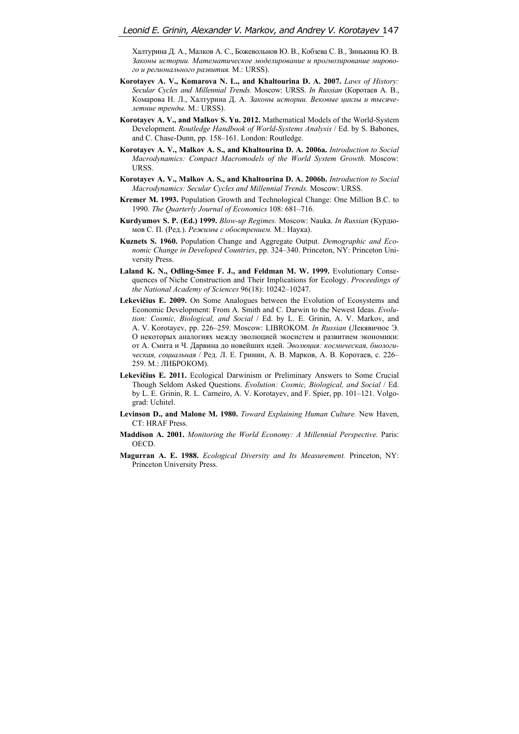Халтурина Д. А., Малков А. С., Божевольнов Ю. В., Кобзева С. В., Зинькина Ю. В. *Законы истории. Математическое моделирование и прогнозирование мирового и регионального развития.* М.: URSS).

- **Korotayev A. V., Komarova N. L., and Khaltourina D. A. 2007.** *Laws of History: Secular Cycles and Millennial Trends.* Moscow: URSS. *In Russian* (Коротаев А. В., Комарова Н. Л., Халтурина Д. А. *Законы истории. Вековые циклы и тысячелетние тренды.* М.: URSS).
- **Korotayev A. V., and Malkov S. Yu. 2012.** Mathematical Models of the World-System Development. *Routledge Handbook of World-Systems Analysis* / Ed. by S. Babones, and C. Chase-Dunn, pp. 158–161. London: Routledge.
- **Korotayev A. V., Malkov A. S., and Khaltourina D. A. 2006a.** *Introduction to Social Macrodynamics: Compact Macromodels of the World System Growth.* Moscow: URSS.
- **Korotayev A. V., Malkov A. S., and Khaltourina D. A. 2006b.** *Introduction to Social Macrodynamics: Secular Cycles and Millennial Trends.* Moscow: URSS.
- **Kremer M. 1993.** Population Growth and Technological Change: One Million B.C. to 1990. *The Quarterly Journal of Economics* 108: 681–716.
- **Kurdyumov S. P. (Ed.) 1999.** *Blow-up Regimes.* Moscow: Nauka. *In Russian* (Курдюмов С. П. (Ред.). *Режимы с обострением.* М.: Наука).
- **Kuznets S. 1960.** Population Change and Aggregate Output. *Demographic and Economic Change in Developed Countries*, pp. 324–340. Princeton, NY: Princeton University Press.
- **Laland K. N., Odling-Smee F. J., and Feldman M. W. 1999.** Evolutionary Consequences of Niche Construction and Their Implications for Ecology. *Proceedings of the National Academy of Sciences* 96(18): 10242–10247.
- **Lekevičius E. 2009.** On Some Analogues between the Evolution of Ecosystems and Economic Development: From A. Smith and C. Darwin to the Newest Ideas. *Evolution: Cosmic, Biological, and Social* / Ed. by L. E. Grinin, A. V. Markov, and A. V. Korotayev, pp. 226–259. Moscow: LIBROKOM. *In Russian* (Лекявичюс Э. О некоторых аналогиях между эволюцией экосистем и развитием экономики: от А. Смита и Ч. Дарвина до новейших идей. *Эволюция: космическая, биологическая, социальная* / Ред. Л. Е. Гринин, А. В. Марков, А. В. Коротаев, с. 226– 259. М.: ЛИБРОКОМ).
- **Lekevičius E. 2011.** Ecological Darwinism or Preliminary Answers to Some Crucial Though Seldom Asked Questions. *Evolution: Cosmic, Biological, and Social* / Ed. by L. E. Grinin, R. L. Carneiro, A. V. Korotayev, and F. Spier, pp. 101–121. Volgograd: Uchitel.
- **Levinson D., and Malone M. 1980.** *Toward Explaining Human Culture.* New Haven, CT: HRAF Press.
- **Maddison A. 2001.** *Monitoring the World Economy: A Millennial Perspective.* Paris: **OECD**
- **Magurran A. E. 1988.** *Ecological Diversity and Its Measurement.* Princeton, NY: Princeton University Press.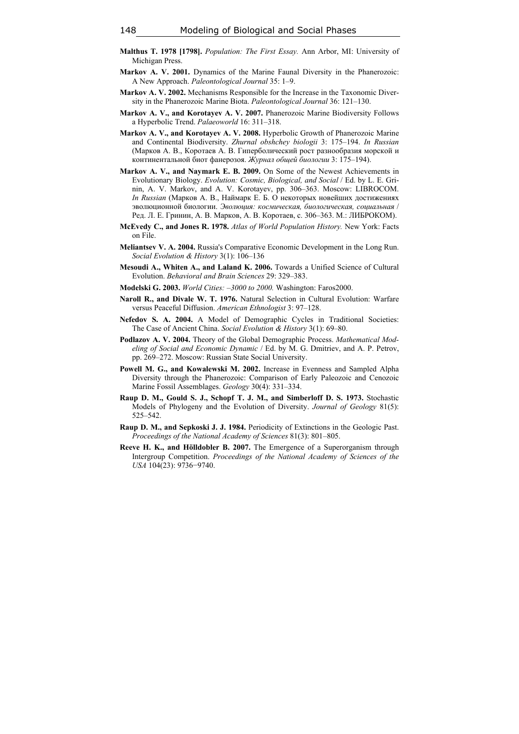- **Malthus T. 1978 [1798].** *Population: The First Essay.* Ann Arbor, MI: University of Michigan Press.
- **Markov A. V. 2001.** Dynamics of the Marine Faunal Diversity in the Phanerozoic: A New Approach. *Paleontological Journal* 35: 1–9.
- **Markov A. V. 2002.** Mechanisms Responsible for the Increase in the Taxonomic Diversity in the Phanerozoic Marine Biota. *Paleontological Journal* 36: 121–130.
- **Markov A. V., and Korotayev A. V. 2007.** Phanerozoic Marine Biodiversity Follows a Hyperbolic Trend. *Palaeoworld* 16: 311–318.
- **Markov A. V., and Korotayev A. V. 2008.** Hyperbolic Growth of Phanerozoic Marine and Continental Biodiversity. *Zhurnal obshchey biologii* 3: 175–194. *In Russian* (Марков А. В., Коротаев А. В. Гиперболический рост разнообразия морской и континентальной биот фанерозоя. *Журнал общей биологии* 3: 175–194).
- **Markov A. V., and Naymark E. B. 2009.** On Some of the Newest Achievements in Evolutionary Biology. *Evolution: Cosmic, Biological, and Social* / Ed. by L. E. Grinin, A. V. Markov, and A. V. Korotayev, pp. 306–363. Moscow: LIBROCOM. *In Russian* (Марков А. В., Наймарк Е. Б. О некоторых новейших достижениях эволюционной биологии. *Эволюция: космическая, биологическая, социальная* / Ред. Л. Е. Гринин, А. В. Марков, А. В. Коротаев, с. 306–363. М.: ЛИБРОКОМ).
- **McEvedy C., and Jones R. 1978.** *Atlas of World Population History.* New York: Facts on File.
- **Meliantsev V. A. 2004.** Russia's Comparative Economic Development in the Long Run. *Social Evolution & History* 3(1): 106–136
- **Mesoudi A., Whiten A., and Laland K. 2006.** Towards a Unified Science of Cultural Evolution. *Behavioral and Brain Sciences* 29: 329–383.
- **Modelski G. 2003.** *World Cities: –3000 to 2000.* Washington: Faros2000.
- **Naroll R., and Divale W. T. 1976.** Natural Selection in Cultural Evolution: Warfare versus Peaceful Diffusion. *American Ethnologist* 3: 97–128.
- **Nefedov S. A. 2004.** A Model of Demographic Cycles in Traditional Societies: The Case of Ancient China. *Social Evolution & History* 3(1): 69–80.
- **Podlazov A. V. 2004.** Theory of the Global Demographic Process. *Mathematical Modeling of Social and Economic Dynamic* / Ed. by M. G. Dmitriev, and A. P. Petrov, pp. 269–272. Moscow: Russian State Social University.
- **Powell M. G., and Kowalewski M. 2002.** Increase in Evenness and Sampled Alpha Diversity through the Phanerozoic: Comparison of Early Paleozoic and Cenozoic Marine Fossil Assemblages. *Geology* 30(4): 331–334.
- **Raup D. M., Gould S. J., Schopf T. J. M., and Simberloff D. S. 1973.** Stochastic Models of Phylogeny and the Evolution of Diversity. *Journal of Geology* 81(5): 525–542.
- **Raup D. M., and Sepkoski J. J. 1984.** Periodicity of Extinctions in the Geologic Past. *Proceedings of the National Academy of Sciences* 81(3): 801–805.
- **Reeve H. K., and Hölldobler B. 2007.** The Emergence of a Superorganism through Intergroup Competition. *Proceedings of the National Academy of Sciences of the USA* 104(23): 9736−9740.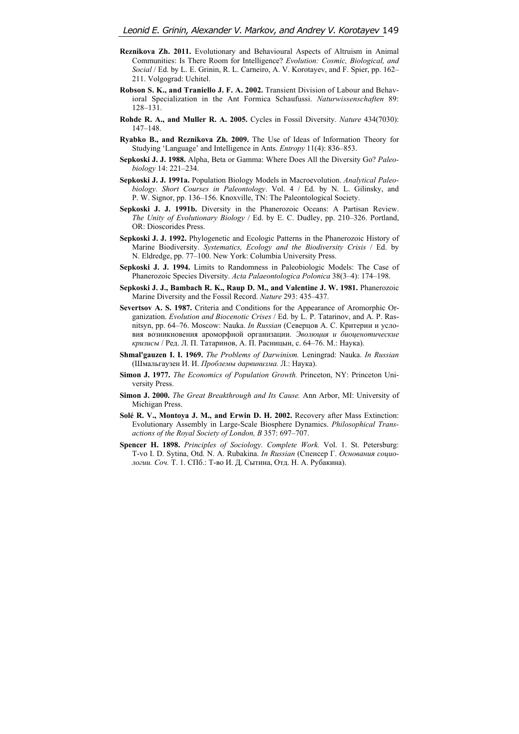- **Reznikova Zh. 2011.** Evolutionary and Behavioural Aspects of Altruism in Animal Communities: Is There Room for Intelligence? *Evolution: Cosmic, Biological, and Social* / Ed. by L. E. Grinin, R. L. Carneiro, A. V. Korotayev, and F. Spier, pp. 162– 211. Volgograd: Uchitel.
- **Robson S. K., and Traniello J. F. A. 2002.** Transient Division of Labour and Behavioral Specialization in the Ant Formica Schaufussi. *Naturwissenschaften* 89: 128–131.
- **Rohde R. A., and Muller R. A. 2005.** Cycles in Fossil Diversity. *Nature* 434(7030): 147–148.
- **Ryabko B., and Reznikova Zh. 2009.** The Use of Ideas of Information Theory for Studying 'Language' and Intelligence in Ants. *Entropy* 11(4): 836–853.
- **Sepkoski J. J. 1988.** Alpha, Beta or Gamma: Where Does All the Diversity Go? *Paleobiology* 14: 221–234.
- **Sepkoski J. J. 1991a.** Population Biology Models in Macroevolution. *Analytical Paleobiology. Short Courses in Paleontology*. Vol. 4 / Ed. by N. L. Gilinsky, and P. W. Signor, pp. 136–156. Knoxville, TN: The Paleontological Society.
- **Sepkoski J. J. 1991b.** Diversity in the Phanerozoic Oceans: A Partisan Review. *The Unity of Evolutionary Biology* / Ed. by E. C. Dudley, pp. 210–326. Portland, OR: Dioscorides Press.
- **Sepkoski J. J. 1992.** Phylogenetic and Ecologic Patterns in the Phanerozoic History of Marine Biodiversity. *Systematics, Ecology and the Biodiversity Crisis* / Ed. by N. Eldredge, pp. 77–100. New York: Columbia University Press.
- **Sepkoski J. J. 1994.** Limits to Randomness in Paleobiologic Models: The Case of Phanerozoic Species Diversity. *Acta Palaeontologica Polonica* 38(3–4): 174–198.
- **Sepkoski J. J., Bambach R. K., Raup D. M., and Valentine J. W. 1981.** Phanerozoic Marine Diversity and the Fossil Record. *Nature* 293: 435–437.
- **Severtsov A. S. 1987.** Criteria and Conditions for the Appearance of Aromorphic Organization. *Evolution and Biocenotic Crises* / Ed. by L. P. Tatarinov, and A. P. Rasnitsyn, pp. 64–76. Moscow: Nauka. *In Russian* (Северцов А. С. Критерии и условия возникновения ароморфной организации. *Эволюция и биоценотические кризисы* / Ред. Л. П. Татаринов, А. П. Расницын, с. 64–76. М.: Наука).
- **Shmal'gauzen I. I. 1969.** *The Problems of Darwinism.* Leningrad: Nauka. *In Russian* (Шмальгаузен И. И. *Проблемы дарвинизма.* Л.: Наука).
- **Simon J. 1977.** *The Economics of Population Growth.* Princeton, NY: Princeton University Press.
- **Simon J. 2000.** *The Great Breakthrough and Its Cause.* Ann Arbor, MI: University of Michigan Press.
- **Solé R. V., Montoya J. M., and Erwin D. H. 2002.** Recovery after Mass Extinction: Evolutionary Assembly in Large-Scale Biosphere Dynamics. *Philosophical Transactions of the Royal Society of London, B* 357: 697–707.
- **Spencer H. 1898.** *Principles of Sociology. Complete Work.* Vol. 1. St. Petersburg: T-vo I. D. Sytina, Otd. N. A. Rubakina. *In Russian* (Спенсер Г. *Основания социологии. Соч.* Т. 1. СПб.: Т-во И. Д. Сытина, Отд. Н. А. Рубакина).